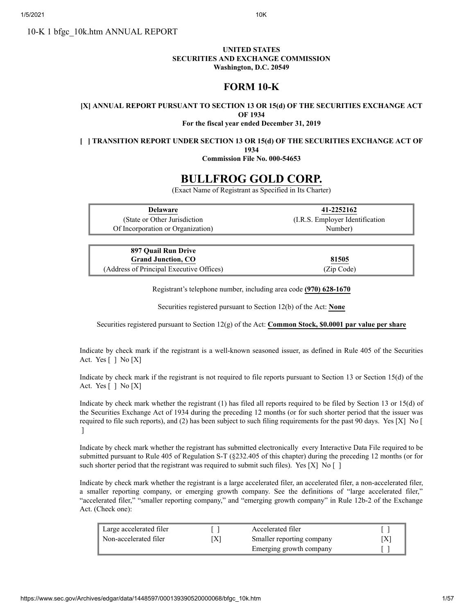10-K 1 bfgc\_10k.htm ANNUAL REPORT

# **UNITED STATES SECURITIES AND EXCHANGE COMMISSION Washington, D.C. 20549**

# **FORM 10-K**

**[X] ANNUAL REPORT PURSUANT TO SECTION 13 OR 15(d) OF THE SECURITIES EXCHANGE ACT OF 1934**

**For the fiscal year ended December 31, 2019**

**[ ] TRANSITION REPORT UNDER SECTION 13 OR 15(d) OF THE SECURITIES EXCHANGE ACT OF 1934**

**Commission File No. 000-54653**

# **BULLFROG GOLD CORP.**

(Exact Name of Registrant as Specified in Its Charter)

| Delaware                          | 41-2252162                       |
|-----------------------------------|----------------------------------|
| (State or Other Jurisdiction)     | (I.R.S. Employer Identification) |
| Of Incorporation or Organization) | Number)                          |
|                                   |                                  |

| 897 Quail Run Drive                      |            |
|------------------------------------------|------------|
| <b>Grand Junction, CO</b>                | 81505      |
| (Address of Principal Executive Offices) | (Zip Code) |

Registrant's telephone number, including area code **(970) 628-1670**

Securities registered pursuant to Section 12(b) of the Act: **None**

Securities registered pursuant to Section 12(g) of the Act: **Common Stock, \$0.0001 par value per share**

Indicate by check mark if the registrant is a well-known seasoned issuer, as defined in Rule 405 of the Securities Act. Yes  $\lceil \cdot \rceil$  No  $[X]$ 

Indicate by check mark if the registrant is not required to file reports pursuant to Section 13 or Section 15(d) of the Act. Yes  $[ ]$  No  $[X]$ 

Indicate by check mark whether the registrant (1) has filed all reports required to be filed by Section 13 or 15(d) of the Securities Exchange Act of 1934 during the preceding 12 months (or for such shorter period that the issuer was required to file such reports), and (2) has been subject to such filing requirements for the past 90 days. Yes [X] No [ ]

Indicate by check mark whether the registrant has submitted electronically every Interactive Data File required to be submitted pursuant to Rule 405 of Regulation S-T (§232.405 of this chapter) during the preceding 12 months (or for such shorter period that the registrant was required to submit such files). Yes  $[X]$  No  $[ ]$ 

Indicate by check mark whether the registrant is a large accelerated filer, an accelerated filer, a non-accelerated filer, a smaller reporting company, or emerging growth company. See the definitions of "large accelerated filer," "accelerated filer," "smaller reporting company," and "emerging growth company" in Rule 12b-2 of the Exchange Act. (Check one):

| Large accelerated filer |   | Accelerated filer         |  |
|-------------------------|---|---------------------------|--|
| Non-accelerated filer   | X | Smaller reporting company |  |
|                         |   | Emerging growth company   |  |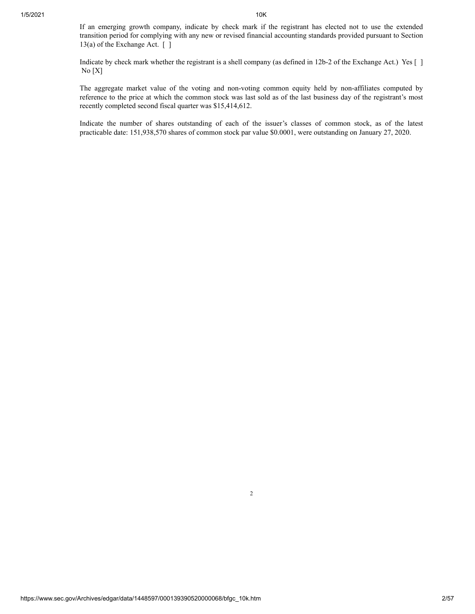If an emerging growth company, indicate by check mark if the registrant has elected not to use the extended transition period for complying with any new or revised financial accounting standards provided pursuant to Section 13(a) of the Exchange Act.  $\lceil \ \rceil$ 

Indicate by check mark whether the registrant is a shell company (as defined in 12b-2 of the Exchange Act.) Yes [ ] No [X]

The aggregate market value of the voting and non-voting common equity held by non-affiliates computed by reference to the price at which the common stock was last sold as of the last business day of the registrant's most recently completed second fiscal quarter was \$15,414,612.

Indicate the number of shares outstanding of each of the issuer's classes of common stock, as of the latest practicable date: 151,938,570 shares of common stock par value \$0.0001, were outstanding on January 27, 2020.

2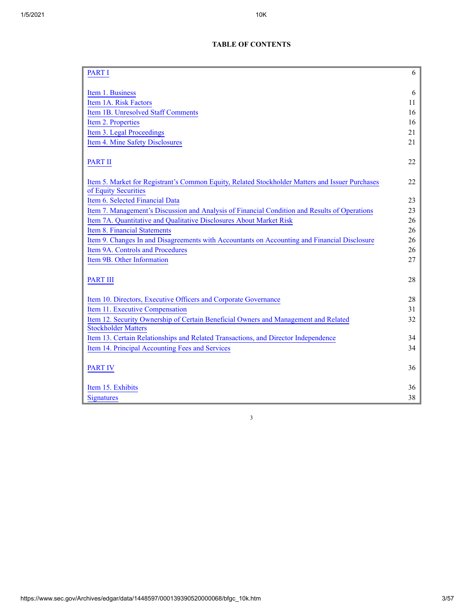# **TABLE OF CONTENTS**

| <b>PART I</b>                                                                                   | 6  |
|-------------------------------------------------------------------------------------------------|----|
|                                                                                                 |    |
| Item 1. Business                                                                                | 6  |
| Item 1A. Risk Factors                                                                           | 11 |
| Item 1B. Unresolved Staff Comments                                                              | 16 |
| Item 2. Properties                                                                              | 16 |
| Item 3. Legal Proceedings                                                                       | 21 |
| Item 4. Mine Safety Disclosures                                                                 | 21 |
| <b>PART II</b>                                                                                  | 22 |
| Item 5. Market for Registrant's Common Equity, Related Stockholder Matters and Issuer Purchases | 22 |
| of Equity Securities                                                                            |    |
| Item 6. Selected Financial Data                                                                 | 23 |
| Item 7. Management's Discussion and Analysis of Financial Condition and Results of Operations   | 23 |
| Item 7A. Quantitative and Qualitative Disclosures About Market Risk                             | 26 |
| Item 8. Financial Statements                                                                    | 26 |
| Item 9. Changes In and Disagreements with Accountants on Accounting and Financial Disclosure    | 26 |
| Item 9A. Controls and Procedures                                                                | 26 |
| Item 9B. Other Information                                                                      | 27 |
| <b>PART III</b>                                                                                 | 28 |
|                                                                                                 |    |
| Item 10. Directors, Executive Officers and Corporate Governance                                 | 28 |
| Item 11. Executive Compensation                                                                 | 31 |
| Item 12. Security Ownership of Certain Beneficial Owners and Management and Related             | 32 |
| <b>Stockholder Matters</b>                                                                      |    |
| Item 13. Certain Relationships and Related Transactions, and Director Independence              | 34 |
| Item 14. Principal Accounting Fees and Services                                                 | 34 |
| <b>PART IV</b>                                                                                  | 36 |
| Item 15. Exhibits                                                                               | 36 |
| <b>Signatures</b>                                                                               | 38 |

3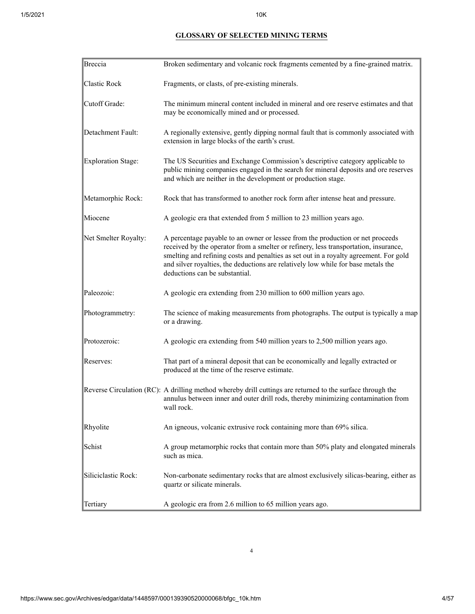# **GLOSSARY OF SELECTED MINING TERMS**

| Breccia              | Broken sedimentary and volcanic rock fragments cemented by a fine-grained matrix.                                                                                                                                                                                                                                                                                                      |
|----------------------|----------------------------------------------------------------------------------------------------------------------------------------------------------------------------------------------------------------------------------------------------------------------------------------------------------------------------------------------------------------------------------------|
| Clastic Rock         | Fragments, or clasts, of pre-existing minerals.                                                                                                                                                                                                                                                                                                                                        |
| Cutoff Grade:        | The minimum mineral content included in mineral and ore reserve estimates and that<br>may be economically mined and or processed.                                                                                                                                                                                                                                                      |
| Detachment Fault:    | A regionally extensive, gently dipping normal fault that is commonly associated with<br>extension in large blocks of the earth's crust.                                                                                                                                                                                                                                                |
| Exploration Stage:   | The US Securities and Exchange Commission's descriptive category applicable to<br>public mining companies engaged in the search for mineral deposits and ore reserves<br>and which are neither in the development or production stage.                                                                                                                                                 |
| Metamorphic Rock:    | Rock that has transformed to another rock form after intense heat and pressure.                                                                                                                                                                                                                                                                                                        |
| Miocene              | A geologic era that extended from 5 million to 23 million years ago.                                                                                                                                                                                                                                                                                                                   |
| Net Smelter Royalty: | A percentage payable to an owner or lessee from the production or net proceeds<br>received by the operator from a smelter or refinery, less transportation, insurance,<br>smelting and refining costs and penalties as set out in a royalty agreement. For gold<br>and silver royalties, the deductions are relatively low while for base metals the<br>deductions can be substantial. |
| Paleozoic:           | A geologic era extending from 230 million to 600 million years ago.                                                                                                                                                                                                                                                                                                                    |
| Photogrammetry:      | The science of making measurements from photographs. The output is typically a map<br>or a drawing.                                                                                                                                                                                                                                                                                    |
| Protozeroic:         | A geologic era extending from 540 million years to 2,500 million years ago.                                                                                                                                                                                                                                                                                                            |
| Reserves:            | That part of a mineral deposit that can be economically and legally extracted or<br>produced at the time of the reserve estimate.                                                                                                                                                                                                                                                      |
|                      | Reverse Circulation (RC): A drilling method whereby drill cuttings are returned to the surface through the<br>annulus between inner and outer drill rods, thereby minimizing contamination from<br>wall rock.                                                                                                                                                                          |
| Rhyolite             | An igneous, volcanic extrusive rock containing more than 69% silica.                                                                                                                                                                                                                                                                                                                   |
| Schist               | A group metamorphic rocks that contain more than 50% platy and elongated minerals<br>such as mica.                                                                                                                                                                                                                                                                                     |
| Siliciclastic Rock:  | Non-carbonate sedimentary rocks that are almost exclusively silicas-bearing, either as<br>quartz or silicate minerals.                                                                                                                                                                                                                                                                 |
| Tertiary             | A geologic era from 2.6 million to 65 million years ago.                                                                                                                                                                                                                                                                                                                               |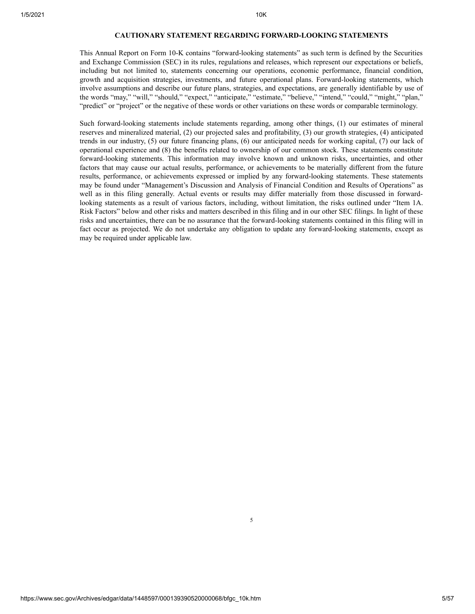# **CAUTIONARY STATEMENT REGARDING FORWARD-LOOKING STATEMENTS**

This Annual Report on Form 10-K contains "forward-looking statements" as such term is defined by the Securities and Exchange Commission (SEC) in its rules, regulations and releases, which represent our expectations or beliefs, including but not limited to, statements concerning our operations, economic performance, financial condition, growth and acquisition strategies, investments, and future operational plans. Forward-looking statements, which involve assumptions and describe our future plans, strategies, and expectations, are generally identifiable by use of the words "may," "will," "should," "expect," "anticipate," "estimate," "believe," "intend," "could," "might," "plan," "predict" or "project" or the negative of these words or other variations on these words or comparable terminology.

Such forward-looking statements include statements regarding, among other things, (1) our estimates of mineral reserves and mineralized material, (2) our projected sales and profitability, (3) our growth strategies, (4) anticipated trends in our industry, (5) our future financing plans, (6) our anticipated needs for working capital, (7) our lack of operational experience and (8) the benefits related to ownership of our common stock. These statements constitute forward-looking statements. This information may involve known and unknown risks, uncertainties, and other factors that may cause our actual results, performance, or achievements to be materially different from the future results, performance, or achievements expressed or implied by any forward-looking statements. These statements may be found under "Management's Discussion and Analysis of Financial Condition and Results of Operations" as well as in this filing generally. Actual events or results may differ materially from those discussed in forwardlooking statements as a result of various factors, including, without limitation, the risks outlined under "Item 1A. Risk Factors" below and other risks and matters described in this filing and in our other SEC filings. In light of these risks and uncertainties, there can be no assurance that the forward-looking statements contained in this filing will in fact occur as projected. We do not undertake any obligation to update any forward-looking statements, except as may be required under applicable law.

5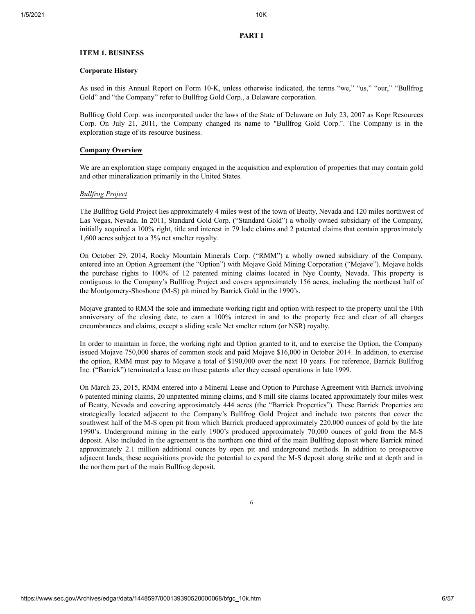#### <span id="page-5-0"></span>**PART I**

#### <span id="page-5-1"></span>**ITEM 1. BUSINESS**

#### **Corporate History**

As used in this Annual Report on Form 10-K, unless otherwise indicated, the terms "we," "us," "our," "Bullfrog Gold" and "the Company" refer to Bullfrog Gold Corp., a Delaware corporation.

Bullfrog Gold Corp. was incorporated under the laws of the State of Delaware on July 23, 2007 as Kopr Resources Corp. On July 21, 2011, the Company changed its name to "Bullfrog Gold Corp.". The Company is in the exploration stage of its resource business.

# **Company Overview**

We are an exploration stage company engaged in the acquisition and exploration of properties that may contain gold and other mineralization primarily in the United States.

#### *Bullfrog Project*

The Bullfrog Gold Project lies approximately 4 miles west of the town of Beatty, Nevada and 120 miles northwest of Las Vegas, Nevada. In 2011, Standard Gold Corp. ("Standard Gold") a wholly owned subsidiary of the Company, initially acquired a 100% right, title and interest in 79 lode claims and 2 patented claims that contain approximately 1,600 acres subject to a 3% net smelter royalty.

On October 29, 2014, Rocky Mountain Minerals Corp. ("RMM") a wholly owned subsidiary of the Company, entered into an Option Agreement (the "Option") with Mojave Gold Mining Corporation ("Mojave"). Mojave holds the purchase rights to 100% of 12 patented mining claims located in Nye County, Nevada. This property is contiguous to the Company's Bullfrog Project and covers approximately 156 acres, including the northeast half of the Montgomery-Shoshone (M-S) pit mined by Barrick Gold in the 1990's.

Mojave granted to RMM the sole and immediate working right and option with respect to the property until the 10th anniversary of the closing date, to earn a 100% interest in and to the property free and clear of all charges encumbrances and claims, except a sliding scale Net smelter return (or NSR) royalty.

In order to maintain in force, the working right and Option granted to it, and to exercise the Option, the Company issued Mojave 750,000 shares of common stock and paid Mojave \$16,000 in October 2014. In addition, to exercise the option, RMM must pay to Mojave a total of \$190,000 over the next 10 years. For reference, Barrick Bullfrog Inc. ("Barrick") terminated a lease on these patents after they ceased operations in late 1999.

On March 23, 2015, RMM entered into a Mineral Lease and Option to Purchase Agreement with Barrick involving 6 patented mining claims, 20 unpatented mining claims, and 8 mill site claims located approximately four miles west of Beatty, Nevada and covering approximately 444 acres (the "Barrick Properties"). These Barrick Properties are strategically located adjacent to the Company's Bullfrog Gold Project and include two patents that cover the southwest half of the M-S open pit from which Barrick produced approximately 220,000 ounces of gold by the late 1990's. Underground mining in the early 1900's produced approximately 70,000 ounces of gold from the M-S deposit. Also included in the agreement is the northern one third of the main Bullfrog deposit where Barrick mined approximately 2.1 million additional ounces by open pit and underground methods. In addition to prospective adjacent lands, these acquisitions provide the potential to expand the M-S deposit along strike and at depth and in the northern part of the main Bullfrog deposit.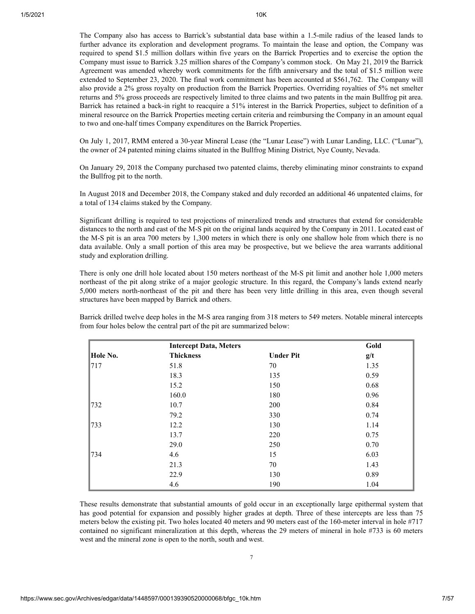The Company also has access to Barrick's substantial data base within a 1.5-mile radius of the leased lands to further advance its exploration and development programs. To maintain the lease and option, the Company was required to spend \$1.5 million dollars within five years on the Barrick Properties and to exercise the option the Company must issue to Barrick 3.25 million shares of the Company's common stock. On May 21, 2019 the Barrick Agreement was amended whereby work commitments for the fifth anniversary and the total of \$1.5 million were extended to September 23, 2020. The final work commitment has been accounted at \$561,762. The Company will also provide a 2% gross royalty on production from the Barrick Properties. Overriding royalties of 5% net smelter returns and 5% gross proceeds are respectively limited to three claims and two patents in the main Bullfrog pit area. Barrick has retained a back-in right to reacquire a 51% interest in the Barrick Properties, subject to definition of a mineral resource on the Barrick Properties meeting certain criteria and reimbursing the Company in an amount equal to two and one-half times Company expenditures on the Barrick Properties.

On July 1, 2017, RMM entered a 30-year Mineral Lease (the "Lunar Lease") with Lunar Landing, LLC. ("Lunar"), the owner of 24 patented mining claims situated in the Bullfrog Mining District, Nye County, Nevada.

On January 29, 2018 the Company purchased two patented claims, thereby eliminating minor constraints to expand the Bullfrog pit to the north.

In August 2018 and December 2018, the Company staked and duly recorded an additional 46 unpatented claims, for a total of 134 claims staked by the Company.

Significant drilling is required to test projections of mineralized trends and structures that extend for considerable distances to the north and east of the M-S pit on the original lands acquired by the Company in 2011. Located east of the M-S pit is an area 700 meters by 1,300 meters in which there is only one shallow hole from which there is no data available. Only a small portion of this area may be prospective, but we believe the area warrants additional study and exploration drilling.

There is only one drill hole located about 150 meters northeast of the M-S pit limit and another hole 1,000 meters northeast of the pit along strike of a major geologic structure. In this regard, the Company's lands extend nearly 5,000 meters north-northeast of the pit and there has been very little drilling in this area, even though several structures have been mapped by Barrick and others.

Barrick drilled twelve deep holes in the M-S area ranging from 318 meters to 549 meters. Notable mineral intercepts from four holes below the central part of the pit are summarized below:

|             | <b>Intercept Data, Meters</b> |                  | Gold |
|-------------|-------------------------------|------------------|------|
| Hole No.    | <b>Thickness</b>              | <b>Under Pit</b> | g/t  |
| $\vert 717$ | 51.8                          | 70               | 1.35 |
|             | 18.3                          | 135              | 0.59 |
|             | 15.2                          | 150              | 0.68 |
|             | 160.0                         | 180              | 0.96 |
| 732         | 10.7                          | 200              | 0.84 |
|             | 79.2                          | 330              | 0.74 |
| 733         | 12.2                          | 130              | 1.14 |
|             | 13.7                          | 220              | 0.75 |
|             | 29.0                          | 250              | 0.70 |
| 734         | 4.6                           | 15               | 6.03 |
|             | 21.3                          | 70               | 1.43 |
|             | 22.9                          | 130              | 0.89 |
|             | 4.6                           | 190              | 1.04 |

These results demonstrate that substantial amounts of gold occur in an exceptionally large epithermal system that has good potential for expansion and possibly higher grades at depth. Three of these intercepts are less than 75 meters below the existing pit. Two holes located 40 meters and 90 meters east of the 160-meter interval in hole #717 contained no significant mineralization at this depth, whereas the 29 meters of mineral in hole #733 is 60 meters west and the mineral zone is open to the north, south and west.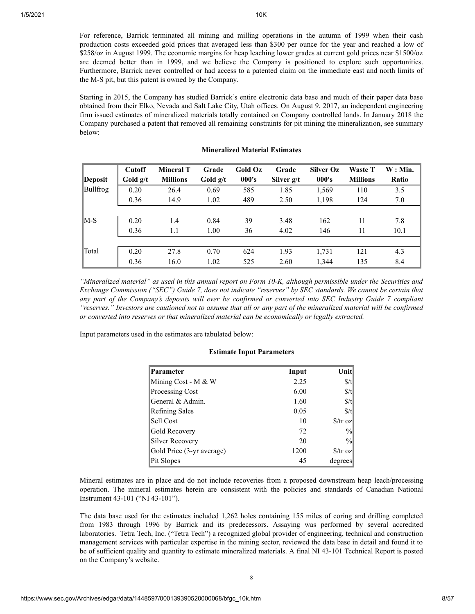For reference, Barrick terminated all mining and milling operations in the autumn of 1999 when their cash production costs exceeded gold prices that averaged less than \$300 per ounce for the year and reached a low of \$258/oz in August 1999. The economic margins for heap leaching lower grades at current gold prices near \$1500/oz are deemed better than in 1999, and we believe the Company is positioned to explore such opportunities. Furthermore, Barrick never controlled or had access to a patented claim on the immediate east and north limits of the M-S pit, but this patent is owned by the Company.

Starting in 2015, the Company has studied Barrick's entire electronic data base and much of their paper data base obtained from their Elko, Nevada and Salt Lake City, Utah offices. On August 9, 2017, an independent engineering firm issued estimates of mineralized materials totally contained on Company controlled lands. In January 2018 the Company purchased a patent that removed all remaining constraints for pit mining the mineralization, see summary below:

|                                | <b>Cutoff</b> | <b>Mineral T</b> | Grade      | Gold Oz | Grade        | Silver Oz | <b>Waste T</b>  | W: Min. |
|--------------------------------|---------------|------------------|------------|---------|--------------|-----------|-----------------|---------|
| Deposit                        | Gold $g/t$    | <b>Millions</b>  | Gold $g/t$ | 000's   | Silver $g/t$ | 000's     | <b>Millions</b> | Ratio   |
| Bullfrog                       | 0.20          | 26.4             | 0.69       | 585     | 1.85         | 1,569     | 110             | 3.5     |
|                                | 0.36          | 14.9             | 1.02       | 489     | 2.50         | 1,198     | 124             | 7.0     |
|                                |               |                  |            |         |              |           |                 |         |
| $\mathbb{M}\text{-}\mathrm{S}$ | 0.20          | 1.4              | 0.84       | 39      | 3.48         | 162       | 11              | 7.8     |
|                                | 0.36          | 1.1              | 1.00       | 36      | 4.02         | 146       | 11              | 10.1    |
|                                |               |                  |            |         |              |           |                 |         |
| Total                          | 0.20          | 27.8             | 0.70       | 624     | 1.93         | 1,731     | 121             | 4.3     |
|                                | 0.36          | 16.0             | 1.02       | 525     | 2.60         | 1,344     | 135             | 8.4     |

### **Mineralized Material Estimates**

"Mineralized material" as used in this annual report on Form 10-K, although permissible under the Securities and Exchange Commission ("SEC") Guide 7, does not indicate "reserves" by SEC standards. We cannot be certain that any part of the Company's deposits will ever be confirmed or converted into SEC Industry Guide 7 compliant "reserves." Investors are cautioned not to assume that all or any part of the mineralized material will be confirmed *or converted into reserves or that mineralized material can be economically or legally extracted.*

Input parameters used in the estimates are tabulated below:

| Parameter                 | Input | Unit                        |
|---------------------------|-------|-----------------------------|
| Mining Cost - M & W       | 2.25  | \$/t                        |
| Processing Cost           | 6.00  | $\frac{\pi}{3}$             |
| General & Admin.          | 1.60  | $\frac{\xi}{t}$             |
| Refining Sales            | 0.05  | \$/t                        |
| Sell Cost                 | 10    | $\frac{\sqrt{t}}{\sqrt{t}}$ |
| Gold Recovery             | 72    | $\frac{0}{0}$               |
| <b>Silver Recovery</b>    | 20    | $\frac{0}{0}$               |
| Gold Price (3-yr average) | 1200  | $\frac{\int \sqrt{x}}{x}$   |
| Pit Slopes                | 45    | degrees                     |

#### **Estimate Input Parameters**

Mineral estimates are in place and do not include recoveries from a proposed downstream heap leach/processing operation. The mineral estimates herein are consistent with the policies and standards of Canadian National Instrument 43-101 ("NI 43-101").

The data base used for the estimates included 1,262 holes containing 155 miles of coring and drilling completed from 1983 through 1996 by Barrick and its predecessors. Assaying was performed by several accredited laboratories. Tetra Tech, Inc. ("Tetra Tech") a recognized global provider of engineering, technical and construction management services with particular expertise in the mining sector, reviewed the data base in detail and found it to be of sufficient quality and quantity to estimate mineralized materials. A final NI 43-101 Technical Report is posted on the Company's website.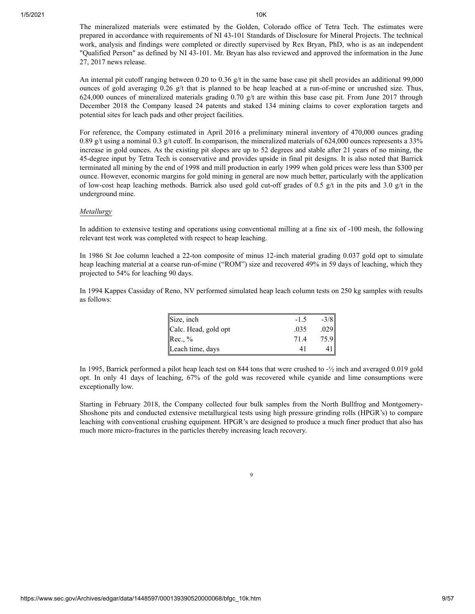The mineralized materials were estimated by the Golden, Colorado office of Tetra Tech. The estimates were prepared in accordance with requirements of NI 43-101 Standards of Disclosure for Mineral Projects. The technical work, analysis and findings were completed or directly supervised by Rex Bryan, PhD, who is as an independent "Qualified Person" as defined by NI 43-101. Mr. Bryan has also reviewed and approved the information in the June 27, 2017 news release.

An internal pit cutoff ranging between 0.20 to 0.36 g/t in the same base case pit shell provides an additional 99,000 ounces of gold averaging 0.26 g/t that is planned to be heap leached at a run-of-mine or uncrushed size. Thus, 624,000 ounces of mineralized materials grading 0.70 g/t are within this base case pit. From June 2017 through December 2018 the Company leased 24 patents and staked 134 mining claims to cover exploration targets and potential sites for leach pads and other project facilities.

For reference, the Company estimated in April 2016 a preliminary mineral inventory of 470,000 ounces grading 0.89 g/t using a nominal 0.3 g/t cutoff. In comparison, the mineralized materials of 624,000 ounces represents a 33% increase in gold ounces. As the existing pit slopes are up to 52 degrees and stable after 21 years of no mining, the 45-degree input by Tetra Tech is conservative and provides upside in final pit designs. It is also noted that Barrick terminated all mining by the end of 1998 and mill production in early 1999 when gold prices were less than \$300 per ounce. However, economic margins for gold mining in general are now much better, particularly with the application of low-cost heap leaching methods. Barrick also used gold cut-off grades of 0.5 g/t in the pits and 3.0 g/t in the underground mine.

#### *Metallurgy*

In addition to extensive testing and operations using conventional milling at a fine six of -100 mesh, the following relevant test work was completed with respect to heap leaching.

In 1986 St Joe column leached a 22-ton composite of minus 12-inch material grading 0.037 gold opt to simulate heap leaching material at a coarse run-of-mine ("ROM") size and recovered 49% in 59 days of leaching, which they projected to 54% for leaching 90 days.

In 1994 Kappes Cassiday of Reno, NV performed simulated heap leach column tests on 250 kg samples with results as follows:

| Size, inch           | $-1.5$ | $-3/8$            |
|----------------------|--------|-------------------|
| Calc. Head, gold opt | .035   | .029              |
| $\mathbb{R}$ ec., %  | 71.4   | 75.9 <sub>1</sub> |
| Leach time, days     |        |                   |

In 1995, Barrick performed a pilot heap leach test on 844 tons that were crushed to -½ inch and averaged 0.019 gold opt. In only 41 days of leaching, 67% of the gold was recovered while cyanide and lime consumptions were exceptionally low.

Starting in February 2018, the Company collected four bulk samples from the North Bullfrog and Montgomery-Shoshone pits and conducted extensive metallurgical tests using high pressure grinding rolls (HPGR's) to compare leaching with conventional crushing equipment. HPGR's are designed to produce a much finer product that also has much more micro-fractures in the particles thereby increasing leach recovery.

9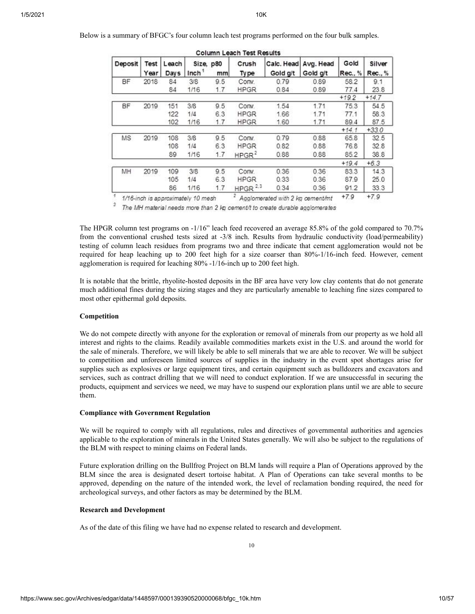Below is a summary of BFGC's four column leach test programs performed on the four bulk samples.

|         |              |               |                                             |     | Column Leach Test Results |                                                  |                       |                 |                   |
|---------|--------------|---------------|---------------------------------------------|-----|---------------------------|--------------------------------------------------|-----------------------|-----------------|-------------------|
| Deposit | Test<br>Year | Leach<br>Days | Size, p80<br>Inch <sup>1</sup>              | mm  | Crush<br>Type             | Calc. Head<br>Gold g/t                           | Avg. Head<br>Gold g/t | Gold<br>Rec., % | Silver<br>Rec., % |
| BF      | 2018         | 84            | 3/8                                         | 9.5 | Conv.                     | 0.79                                             | 0.89                  | 58.2            | 9.1               |
|         |              | 84            | 1/16                                        | 1.7 | <b>HPGR</b>               | 0.84                                             | 0.89                  | 77.4            | 23.8              |
|         |              |               |                                             |     |                           |                                                  |                       | $+19.2$         | $+14.7$           |
| BF      | 2019         | 151           | 3/8                                         | 9.5 | Conv.                     | 1.54                                             | 1.71                  | 75.3            | 54.5              |
|         |              | 122           | 1/4                                         | 6.3 | <b>HPGR</b>               | 1.66                                             | 1.71                  | 77.1            | 58.3              |
|         |              | 102           | 1/16                                        | 1.7 | <b>HPGR</b>               | 1.60                                             | 1.71                  | 89.4            | 87.5              |
|         |              |               |                                             |     |                           |                                                  |                       | $+14.1$         | $+33.0$           |
| MS      | 2019         | 108           | 3/8                                         | 9.5 | Conv.                     | 0.79                                             | 0.88                  | 65.8            | 32.5              |
|         |              | 108           | 1/4                                         | 6.3 | <b>HPGR</b>               | 0.82                                             | 0.88                  | 76.8            | 32.8              |
|         |              | 89            | 1/16                                        | 1.7 | HPGR <sup>2</sup>         | 0.88                                             | 0.88                  | 85.2            | 38.8              |
|         |              |               |                                             |     |                           |                                                  |                       | $+19.4$         | $+6.3$            |
| MH      | 2019         | 109           | 3/8                                         | 9.5 | Conv.                     | 0.36                                             | 0.36                  | 83.3            | 14.3              |
|         |              | 105           | 1/4                                         | 6.3 | <b>HPGR</b>               | 0.33                                             | 0.36                  | 87.9            | 25.0              |
|         |              | 86            | 1/16                                        | 1.7 | HPGR <sup>2,3</sup>       | 0.34                                             | 0.36                  | 91.2            | 33.3              |
|         |              |               | $A / B$ is able to consequently $A$ and $A$ |     |                           | $2 \text{ A}$ release using with 2 los expected. |                       | $+70$           | $+70$             |

1/16-inch is approximately 10 mesh  $+7.9$ Agglomerated with 2 kg cement/mt 3

The MH material needs more than 2 kg cement/t to create durable agglomerates

The HPGR column test programs on -1/16" leach feed recovered an average 85.8% of the gold compared to 70.7% from the conventional crushed tests sized at -3/8 inch. Results from hydraulic conductivity (load/permeability) testing of column leach residues from programs two and three indicate that cement agglomeration would not be required for heap leaching up to 200 feet high for a size coarser than 80%-1/16-inch feed. However, cement agglomeration is required for leaching 80% -1/16-inch up to 200 feet high.

It is notable that the brittle, rhyolite-hosted deposits in the BF area have very low clay contents that do not generate much additional fines during the sizing stages and they are particularly amenable to leaching fine sizes compared to most other epithermal gold deposits.

#### **Competition**

We do not compete directly with anyone for the exploration or removal of minerals from our property as we hold all interest and rights to the claims. Readily available commodities markets exist in the U.S. and around the world for the sale of minerals. Therefore, we will likely be able to sell minerals that we are able to recover. We will be subject to competition and unforeseen limited sources of supplies in the industry in the event spot shortages arise for supplies such as explosives or large equipment tires, and certain equipment such as bulldozers and excavators and services, such as contract drilling that we will need to conduct exploration. If we are unsuccessful in securing the products, equipment and services we need, we may have to suspend our exploration plans until we are able to secure them.

#### **Compliance with Government Regulation**

We will be required to comply with all regulations, rules and directives of governmental authorities and agencies applicable to the exploration of minerals in the United States generally. We will also be subject to the regulations of the BLM with respect to mining claims on Federal lands.

Future exploration drilling on the Bullfrog Project on BLM lands will require a Plan of Operations approved by the BLM since the area is designated desert tortoise habitat. A Plan of Operations can take several months to be approved, depending on the nature of the intended work, the level of reclamation bonding required, the need for archeological surveys, and other factors as may be determined by the BLM.

# **Research and Development**

As of the date of this filing we have had no expense related to research and development.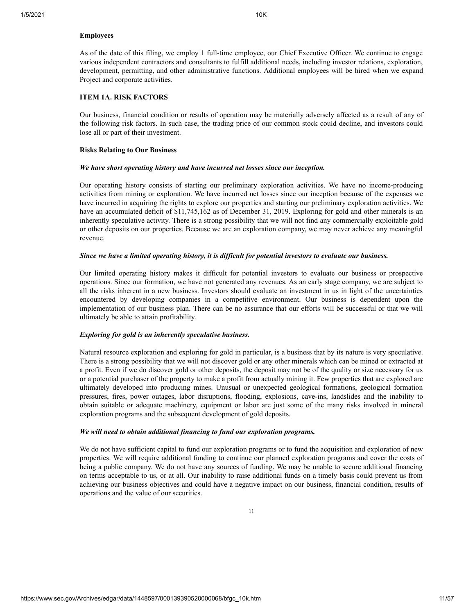#### **Employees**

As of the date of this filing, we employ 1 full-time employee, our Chief Executive Officer. We continue to engage various independent contractors and consultants to fulfill additional needs, including investor relations, exploration, development, permitting, and other administrative functions. Additional employees will be hired when we expand Project and corporate activities.

#### <span id="page-10-0"></span>**ITEM 1A. RISK FACTORS**

Our business, financial condition or results of operation may be materially adversely affected as a result of any of the following risk factors. In such case, the trading price of our common stock could decline, and investors could lose all or part of their investment.

#### **Risks Relating to Our Business**

#### *We have short operating history and have incurred net losses since our inception.*

Our operating history consists of starting our preliminary exploration activities. We have no income-producing activities from mining or exploration. We have incurred net losses since our inception because of the expenses we have incurred in acquiring the rights to explore our properties and starting our preliminary exploration activities. We have an accumulated deficit of \$11,745,162 as of December 31, 2019. Exploring for gold and other minerals is an inherently speculative activity. There is a strong possibility that we will not find any commercially exploitable gold or other deposits on our properties. Because we are an exploration company, we may never achieve any meaningful revenue.

# Since we have a limited operating history, it is difficult for potential investors to evaluate our business.

Our limited operating history makes it difficult for potential investors to evaluate our business or prospective operations. Since our formation, we have not generated any revenues. As an early stage company, we are subject to all the risks inherent in a new business. Investors should evaluate an investment in us in light of the uncertainties encountered by developing companies in a competitive environment. Our business is dependent upon the implementation of our business plan. There can be no assurance that our efforts will be successful or that we will ultimately be able to attain profitability.

#### *Exploring for gold is an inherently speculative business.*

Natural resource exploration and exploring for gold in particular, is a business that by its nature is very speculative. There is a strong possibility that we will not discover gold or any other minerals which can be mined or extracted at a profit. Even if we do discover gold or other deposits, the deposit may not be of the quality or size necessary for us or a potential purchaser of the property to make a profit from actually mining it. Few properties that are explored are ultimately developed into producing mines. Unusual or unexpected geological formations, geological formation pressures, fires, power outages, labor disruptions, flooding, explosions, cave-ins, landslides and the inability to obtain suitable or adequate machinery, equipment or labor are just some of the many risks involved in mineral exploration programs and the subsequent development of gold deposits.

#### *We will need to obtain additional financing to fund our exploration programs.*

We do not have sufficient capital to fund our exploration programs or to fund the acquisition and exploration of new properties. We will require additional funding to continue our planned exploration programs and cover the costs of being a public company. We do not have any sources of funding. We may be unable to secure additional financing on terms acceptable to us, or at all. Our inability to raise additional funds on a timely basis could prevent us from achieving our business objectives and could have a negative impact on our business, financial condition, results of operations and the value of our securities.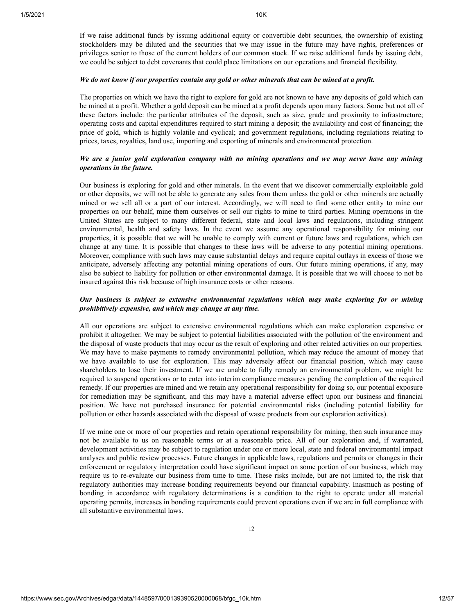If we raise additional funds by issuing additional equity or convertible debt securities, the ownership of existing stockholders may be diluted and the securities that we may issue in the future may have rights, preferences or privileges senior to those of the current holders of our common stock. If we raise additional funds by issuing debt, we could be subject to debt covenants that could place limitations on our operations and financial flexibility.

#### We do not know if our properties contain any gold or other minerals that can be mined at a profit.

The properties on which we have the right to explore for gold are not known to have any deposits of gold which can be mined at a profit. Whether a gold deposit can be mined at a profit depends upon many factors. Some but not all of these factors include: the particular attributes of the deposit, such as size, grade and proximity to infrastructure; operating costs and capital expenditures required to start mining a deposit; the availability and cost of financing; the price of gold, which is highly volatile and cyclical; and government regulations, including regulations relating to prices, taxes, royalties, land use, importing and exporting of minerals and environmental protection.

# We are a junior gold exploration company with no mining operations and we may never have any mining *operations in the future.*

Our business is exploring for gold and other minerals. In the event that we discover commercially exploitable gold or other deposits, we will not be able to generate any sales from them unless the gold or other minerals are actually mined or we sell all or a part of our interest. Accordingly, we will need to find some other entity to mine our properties on our behalf, mine them ourselves or sell our rights to mine to third parties. Mining operations in the United States are subject to many different federal, state and local laws and regulations, including stringent environmental, health and safety laws. In the event we assume any operational responsibility for mining our properties, it is possible that we will be unable to comply with current or future laws and regulations, which can change at any time. It is possible that changes to these laws will be adverse to any potential mining operations. Moreover, compliance with such laws may cause substantial delays and require capital outlays in excess of those we anticipate, adversely affecting any potential mining operations of ours. Our future mining operations, if any, may also be subject to liability for pollution or other environmental damage. It is possible that we will choose to not be insured against this risk because of high insurance costs or other reasons.

# *Our business is subject to extensive environmental regulations which may make exploring for or mining prohibitively expensive, and which may change at any time.*

All our operations are subject to extensive environmental regulations which can make exploration expensive or prohibit it altogether. We may be subject to potential liabilities associated with the pollution of the environment and the disposal of waste products that may occur as the result of exploring and other related activities on our properties. We may have to make payments to remedy environmental pollution, which may reduce the amount of money that we have available to use for exploration. This may adversely affect our financial position, which may cause shareholders to lose their investment. If we are unable to fully remedy an environmental problem, we might be required to suspend operations or to enter into interim compliance measures pending the completion of the required remedy. If our properties are mined and we retain any operational responsibility for doing so, our potential exposure for remediation may be significant, and this may have a material adverse effect upon our business and financial position. We have not purchased insurance for potential environmental risks (including potential liability for pollution or other hazards associated with the disposal of waste products from our exploration activities).

If we mine one or more of our properties and retain operational responsibility for mining, then such insurance may not be available to us on reasonable terms or at a reasonable price. All of our exploration and, if warranted, development activities may be subject to regulation under one or more local, state and federal environmental impact analyses and public review processes. Future changes in applicable laws, regulations and permits or changes in their enforcement or regulatory interpretation could have significant impact on some portion of our business, which may require us to re-evaluate our business from time to time. These risks include, but are not limited to, the risk that regulatory authorities may increase bonding requirements beyond our financial capability. Inasmuch as posting of bonding in accordance with regulatory determinations is a condition to the right to operate under all material operating permits, increases in bonding requirements could prevent operations even if we are in full compliance with all substantive environmental laws.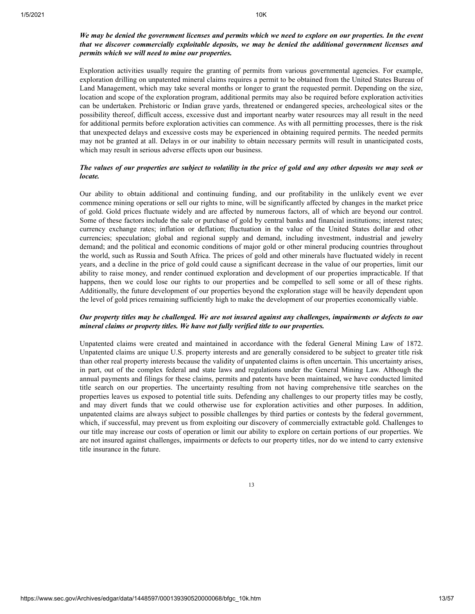# We may be denied the government licenses and permits which we need to explore on our properties. In the event *that we discover commercially exploitable deposits, we may be denied the additional government licenses and permits which we will need to mine our properties.*

Exploration activities usually require the granting of permits from various governmental agencies. For example, exploration drilling on unpatented mineral claims requires a permit to be obtained from the United States Bureau of Land Management, which may take several months or longer to grant the requested permit. Depending on the size, location and scope of the exploration program, additional permits may also be required before exploration activities can be undertaken. Prehistoric or Indian grave yards, threatened or endangered species, archeological sites or the possibility thereof, difficult access, excessive dust and important nearby water resources may all result in the need for additional permits before exploration activities can commence. As with all permitting processes, there is the risk that unexpected delays and excessive costs may be experienced in obtaining required permits. The needed permits may not be granted at all. Delays in or our inability to obtain necessary permits will result in unanticipated costs, which may result in serious adverse effects upon our business.

# The values of our properties are subject to volatility in the price of gold and any other deposits we may seek or *locate.*

Our ability to obtain additional and continuing funding, and our profitability in the unlikely event we ever commence mining operations or sell our rights to mine, will be significantly affected by changes in the market price of gold. Gold prices fluctuate widely and are affected by numerous factors, all of which are beyond our control. Some of these factors include the sale or purchase of gold by central banks and financial institutions; interest rates; currency exchange rates; inflation or deflation; fluctuation in the value of the United States dollar and other currencies; speculation; global and regional supply and demand, including investment, industrial and jewelry demand; and the political and economic conditions of major gold or other mineral producing countries throughout the world, such as Russia and South Africa. The prices of gold and other minerals have fluctuated widely in recent years, and a decline in the price of gold could cause a significant decrease in the value of our properties, limit our ability to raise money, and render continued exploration and development of our properties impracticable. If that happens, then we could lose our rights to our properties and be compelled to sell some or all of these rights. Additionally, the future development of our properties beyond the exploration stage will be heavily dependent upon the level of gold prices remaining sufficiently high to make the development of our properties economically viable.

# Our property titles may be challenged. We are not insured against any challenges, impairments or defects to our *mineral claims or property titles. We have not fully verified title to our properties.*

Unpatented claims were created and maintained in accordance with the federal General Mining Law of 1872. Unpatented claims are unique U.S. property interests and are generally considered to be subject to greater title risk than other real property interests because the validity of unpatented claims is often uncertain. This uncertainty arises, in part, out of the complex federal and state laws and regulations under the General Mining Law. Although the annual payments and filings for these claims, permits and patents have been maintained, we have conducted limited title search on our properties. The uncertainty resulting from not having comprehensive title searches on the properties leaves us exposed to potential title suits. Defending any challenges to our property titles may be costly, and may divert funds that we could otherwise use for exploration activities and other purposes. In addition, unpatented claims are always subject to possible challenges by third parties or contests by the federal government, which, if successful, may prevent us from exploiting our discovery of commercially extractable gold. Challenges to our title may increase our costs of operation or limit our ability to explore on certain portions of our properties. We are not insured against challenges, impairments or defects to our property titles, nor do we intend to carry extensive title insurance in the future.

13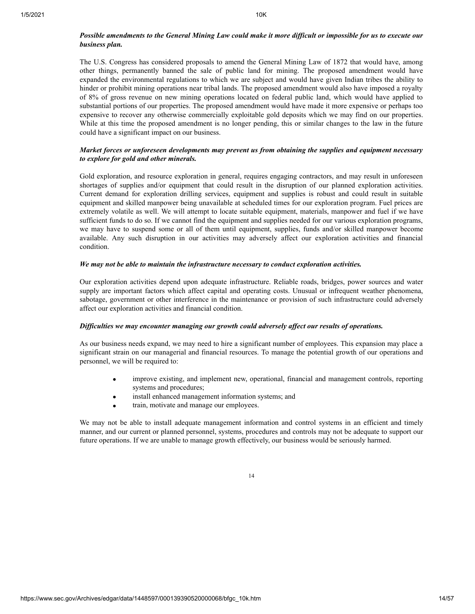# Possible amendments to the General Mining Law could make it more difficult or impossible for us to execute our *business plan.*

The U.S. Congress has considered proposals to amend the General Mining Law of 1872 that would have, among other things, permanently banned the sale of public land for mining. The proposed amendment would have expanded the environmental regulations to which we are subject and would have given Indian tribes the ability to hinder or prohibit mining operations near tribal lands. The proposed amendment would also have imposed a royalty of 8% of gross revenue on new mining operations located on federal public land, which would have applied to substantial portions of our properties. The proposed amendment would have made it more expensive or perhaps too expensive to recover any otherwise commercially exploitable gold deposits which we may find on our properties. While at this time the proposed amendment is no longer pending, this or similar changes to the law in the future could have a significant impact on our business.

# *Market forces or unforeseen developments may prevent us from obtaining the supplies and equipment necessary to explore for gold and other minerals.*

Gold exploration, and resource exploration in general, requires engaging contractors, and may result in unforeseen shortages of supplies and/or equipment that could result in the disruption of our planned exploration activities. Current demand for exploration drilling services, equipment and supplies is robust and could result in suitable equipment and skilled manpower being unavailable at scheduled times for our exploration program. Fuel prices are extremely volatile as well. We will attempt to locate suitable equipment, materials, manpower and fuel if we have sufficient funds to do so. If we cannot find the equipment and supplies needed for our various exploration programs, we may have to suspend some or all of them until equipment, supplies, funds and/or skilled manpower become available. Any such disruption in our activities may adversely affect our exploration activities and financial condition.

### *We may not be able to maintain the infrastructure necessary to conduct exploration activities.*

Our exploration activities depend upon adequate infrastructure. Reliable roads, bridges, power sources and water supply are important factors which affect capital and operating costs. Unusual or infrequent weather phenomena, sabotage, government or other interference in the maintenance or provision of such infrastructure could adversely affect our exploration activities and financial condition.

#### *Dif iculties we may encounter managing our growth could adversely af ect our results of operations.*

As our business needs expand, we may need to hire a significant number of employees. This expansion may place a significant strain on our managerial and financial resources. To manage the potential growth of our operations and personnel, we will be required to:

- improve existing, and implement new, operational, financial and management controls, reporting systems and procedures; ·
- install enhanced management information systems; and ·
- train, motivate and manage our employees. ·

We may not be able to install adequate management information and control systems in an efficient and timely manner, and our current or planned personnel, systems, procedures and controls may not be adequate to support our future operations. If we are unable to manage growth effectively, our business would be seriously harmed.

14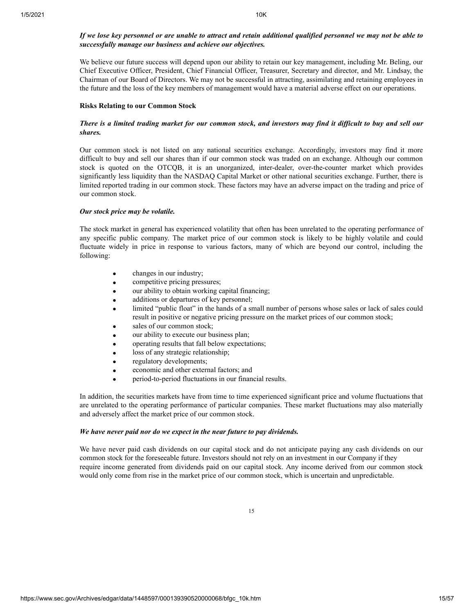# If we lose key personnel or are unable to attract and retain additional qualified personnel we may not be able to *successfully manage our business and achieve our objectives.*

We believe our future success will depend upon our ability to retain our key management, including Mr. Beling, our Chief Executive Officer, President, Chief Financial Officer, Treasurer, Secretary and director, and Mr. Lindsay, the Chairman of our Board of Directors. We may not be successful in attracting, assimilating and retaining employees in the future and the loss of the key members of management would have a material adverse effect on our operations.

#### **Risks Relating to our Common Stock**

# There is a limited trading market for our common stock, and investors may find it difficult to buy and sell our *shares.*

Our common stock is not listed on any national securities exchange. Accordingly, investors may find it more difficult to buy and sell our shares than if our common stock was traded on an exchange. Although our common stock is quoted on the OTCQB, it is an unorganized, inter-dealer, over-the-counter market which provides significantly less liquidity than the NASDAQ Capital Market or other national securities exchange. Further, there is limited reported trading in our common stock. These factors may have an adverse impact on the trading and price of our common stock.

#### *Our stock price may be volatile.*

The stock market in general has experienced volatility that often has been unrelated to the operating performance of any specific public company. The market price of our common stock is likely to be highly volatile and could fluctuate widely in price in response to various factors, many of which are beyond our control, including the following:

- changes in our industry; ·
- competitive pricing pressures; ·
- our ability to obtain working capital financing; ·
- additions or departures of key personnel; ·
- limited "public float" in the hands of a small number of persons whose sales or lack of sales could result in positive or negative pricing pressure on the market prices of our common stock; ·
- sales of our common stock; ·
- our ability to execute our business plan; ·
- operating results that fall below expectations; ·
- loss of any strategic relationship; ·
- regulatory developments; ·
- economic and other external factors; and ·
- period-to-period fluctuations in our financial results. ·

In addition, the securities markets have from time to time experienced significant price and volume fluctuations that are unrelated to the operating performance of particular companies. These market fluctuations may also materially and adversely affect the market price of our common stock.

#### *We have never paid nor do we expect in the near future to pay dividends.*

We have never paid cash dividends on our capital stock and do not anticipate paying any cash dividends on our common stock for the foreseeable future. Investors should not rely on an investment in our Company if they require income generated from dividends paid on our capital stock. Any income derived from our common stock would only come from rise in the market price of our common stock, which is uncertain and unpredictable.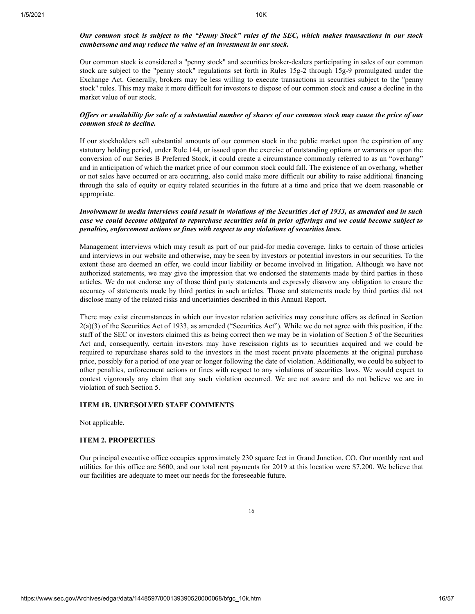# Our common stock is subject to the "Penny Stock" rules of the SEC, which makes transactions in our stock *cumbersome and may reduce the value of an investment in our stock.*

Our common stock is considered a "penny stock" and securities broker-dealers participating in sales of our common stock are subject to the "penny stock" regulations set forth in Rules 15g-2 through 15g-9 promulgated under the Exchange Act. Generally, brokers may be less willing to execute transactions in securities subject to the "penny stock" rules. This may make it more difficult for investors to dispose of our common stock and cause a decline in the market value of our stock.

# Offers or availability for sale of a substantial number of shares of our common stock may cause the price of our *common stock to decline.*

If our stockholders sell substantial amounts of our common stock in the public market upon the expiration of any statutory holding period, under Rule 144, or issued upon the exercise of outstanding options or warrants or upon the conversion of our Series B Preferred Stock, it could create a circumstance commonly referred to as an "overhang" and in anticipation of which the market price of our common stock could fall. The existence of an overhang, whether or not sales have occurred or are occurring, also could make more difficult our ability to raise additional financing through the sale of equity or equity related securities in the future at a time and price that we deem reasonable or appropriate.

# Involvement in media interviews could result in violations of the Securities Act of 1933, as amended and in such case we could become obligated to repurchase securities sold in prior offerings and we could become subject to *penalties, enforcement actions or fines with respect to any violations of securities laws.*

Management interviews which may result as part of our paid-for media coverage, links to certain of those articles and interviews in our website and otherwise, may be seen by investors or potential investors in our securities. To the extent these are deemed an offer, we could incur liability or become involved in litigation. Although we have not authorized statements, we may give the impression that we endorsed the statements made by third parties in those articles. We do not endorse any of those third party statements and expressly disavow any obligation to ensure the accuracy of statements made by third parties in such articles. Those and statements made by third parties did not disclose many of the related risks and uncertainties described in this Annual Report.

There may exist circumstances in which our investor relation activities may constitute offers as defined in Section  $2(a)(3)$  of the Securities Act of 1933, as amended ("Securities Act"). While we do not agree with this position, if the staff of the SEC or investors claimed this as being correct then we may be in violation of Section 5 of the Securities Act and, consequently, certain investors may have rescission rights as to securities acquired and we could be required to repurchase shares sold to the investors in the most recent private placements at the original purchase price, possibly for a period of one year or longer following the date of violation. Additionally, we could be subject to other penalties, enforcement actions or fines with respect to any violations of securities laws. We would expect to contest vigorously any claim that any such violation occurred. We are not aware and do not believe we are in violation of such Section 5.

# <span id="page-15-0"></span>**ITEM 1B. UNRESOLVED STAFF COMMENTS**

Not applicable.

### <span id="page-15-1"></span>**ITEM 2. PROPERTIES**

Our principal executive office occupies approximately 230 square feet in Grand Junction, CO. Our monthly rent and utilities for this office are \$600, and our total rent payments for 2019 at this location were \$7,200. We believe that our facilities are adequate to meet our needs for the foreseeable future.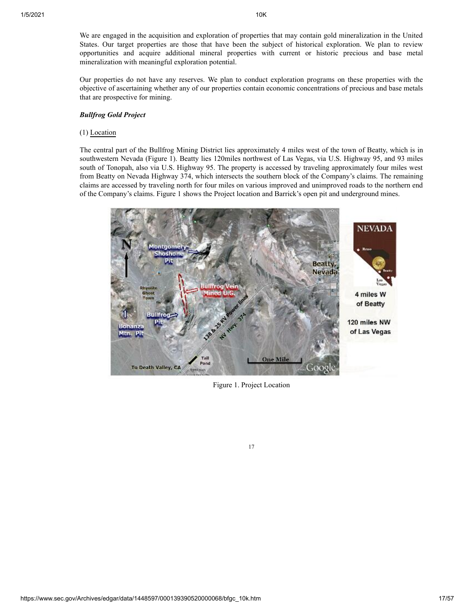We are engaged in the acquisition and exploration of properties that may contain gold mineralization in the United States. Our target properties are those that have been the subject of historical exploration. We plan to review opportunities and acquire additional mineral properties with current or historic precious and base metal mineralization with meaningful exploration potential.

Our properties do not have any reserves. We plan to conduct exploration programs on these properties with the objective of ascertaining whether any of our properties contain economic concentrations of precious and base metals that are prospective for mining.

# *Bullfrog Gold Project*

# (1) Location

The central part of the Bullfrog Mining District lies approximately 4 miles west of the town of Beatty, which is in southwestern Nevada (Figure 1). Beatty lies 120miles northwest of Las Vegas, via U.S. Highway 95, and 93 miles south of Tonopah, also via U.S. Highway 95. The property is accessed by traveling approximately four miles west from Beatty on Nevada Highway 374, which intersects the southern block of the Company's claims. The remaining claims are accessed by traveling north for four miles on various improved and unimproved roads to the northern end of the Company's claims. Figure 1 shows the Project location and Barrick's open pit and underground mines.



Figure 1. Project Location

17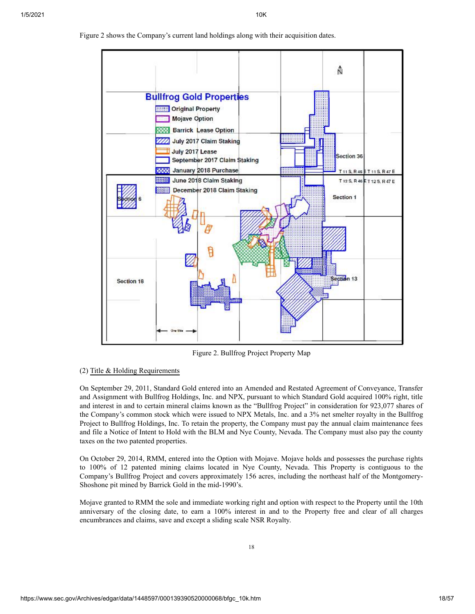



Figure 2. Bullfrog Project Property Map

# (2) Title & Holding Requirements

On September 29, 2011, Standard Gold entered into an Amended and Restated Agreement of Conveyance, Transfer and Assignment with Bullfrog Holdings, Inc. and NPX, pursuant to which Standard Gold acquired 100% right, title and interest in and to certain mineral claims known as the "Bullfrog Project" in consideration for 923,077 shares of the Company's common stock which were issued to NPX Metals, Inc. and a 3% net smelter royalty in the Bullfrog Project to Bullfrog Holdings, Inc. To retain the property, the Company must pay the annual claim maintenance fees and file a Notice of Intent to Hold with the BLM and Nye County, Nevada. The Company must also pay the county taxes on the two patented properties.

On October 29, 2014, RMM, entered into the Option with Mojave. Mojave holds and possesses the purchase rights to 100% of 12 patented mining claims located in Nye County, Nevada. This Property is contiguous to the Company's Bullfrog Project and covers approximately 156 acres, including the northeast half of the Montgomery-Shoshone pit mined by Barrick Gold in the mid-1990's.

Mojave granted to RMM the sole and immediate working right and option with respect to the Property until the 10th anniversary of the closing date, to earn a 100% interest in and to the Property free and clear of all charges encumbrances and claims, save and except a sliding scale NSR Royalty.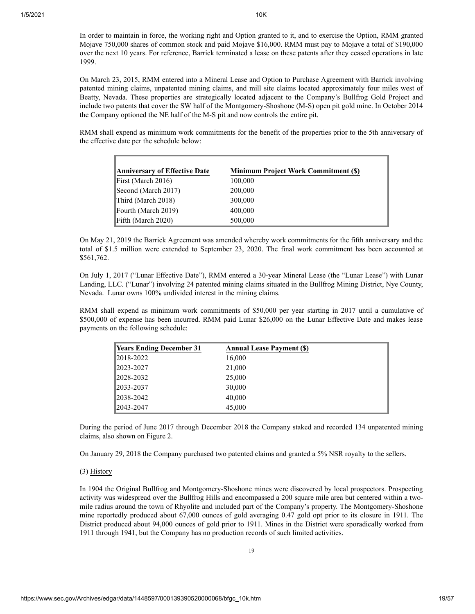In order to maintain in force, the working right and Option granted to it, and to exercise the Option, RMM granted Mojave 750,000 shares of common stock and paid Mojave \$16,000. RMM must pay to Mojave a total of \$190,000 over the next 10 years. For reference, Barrick terminated a lease on these patents after they ceased operations in late 1999.

On March 23, 2015, RMM entered into a Mineral Lease and Option to Purchase Agreement with Barrick involving patented mining claims, unpatented mining claims, and mill site claims located approximately four miles west of Beatty, Nevada. These properties are strategically located adjacent to the Company's Bullfrog Gold Project and include two patents that cover the SW half of the Montgomery-Shoshone (M-S) open pit gold mine. In October 2014 the Company optioned the NE half of the M-S pit and now controls the entire pit.

RMM shall expend as minimum work commitments for the benefit of the properties prior to the 5th anniversary of the effective date per the schedule below:

| Anniversary of Effective Date | <b>Minimum Project Work Commitment (\$)</b> |
|-------------------------------|---------------------------------------------|
| First (March 2016)            | 100,000                                     |
| Second (March 2017)           | 200,000                                     |
| Third (March 2018)            | 300,000                                     |
| Fourth (March 2019)           | 400,000                                     |
| Fifth (March 2020)            | 500,000                                     |

On May 21, 2019 the Barrick Agreement was amended whereby work commitments for the fifth anniversary and the total of \$1.5 million were extended to September 23, 2020. The final work commitment has been accounted at \$561,762.

On July 1, 2017 ("Lunar Effective Date"), RMM entered a 30-year Mineral Lease (the "Lunar Lease") with Lunar Landing, LLC. ("Lunar") involving 24 patented mining claims situated in the Bullfrog Mining District, Nye County, Nevada. Lunar owns 100% undivided interest in the mining claims.

RMM shall expend as minimum work commitments of \$50,000 per year starting in 2017 until a cumulative of \$500,000 of expense has been incurred. RMM paid Lunar \$26,000 on the Lunar Effective Date and makes lease payments on the following schedule:

| <b>Tears Ending December 31</b> | <b>Annual Lease Payment (\$)</b> |
|---------------------------------|----------------------------------|
| $12018 - 2022$                  | 16,000                           |
| 2023-2027                       | 21,000                           |
| $\parallel$ 2028-2032           | 25,000                           |
| $\parallel$ 2033-2037           | 30,000                           |
| $\parallel$ 2038-2042           | 40,000                           |
| 2043-2047                       | 45,000                           |

During the period of June 2017 through December 2018 the Company staked and recorded 134 unpatented mining claims, also shown on Figure 2.

On January 29, 2018 the Company purchased two patented claims and granted a 5% NSR royalty to the sellers.

#### (3) History

In 1904 the Original Bullfrog and Montgomery-Shoshone mines were discovered by local prospectors. Prospecting activity was widespread over the Bullfrog Hills and encompassed a 200 square mile area but centered within a twomile radius around the town of Rhyolite and included part of the Company's property. The Montgomery-Shoshone mine reportedly produced about 67,000 ounces of gold averaging 0.47 gold opt prior to its closure in 1911. The District produced about 94,000 ounces of gold prior to 1911. Mines in the District were sporadically worked from 1911 through 1941, but the Company has no production records of such limited activities.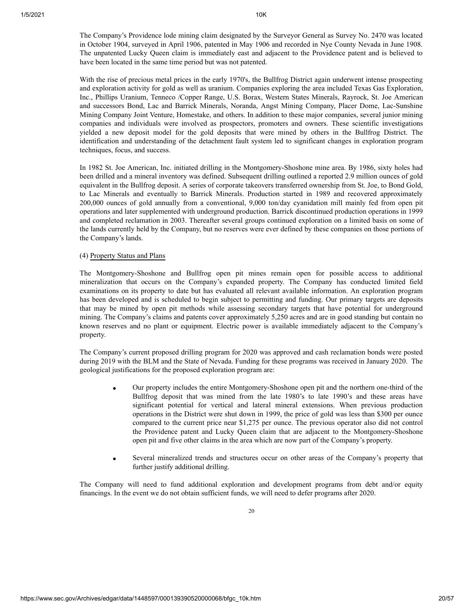The Company's Providence lode mining claim designated by the Surveyor General as Survey No. 2470 was located in October 1904, surveyed in April 1906, patented in May 1906 and recorded in Nye County Nevada in June 1908. The unpatented Lucky Queen claim is immediately east and adjacent to the Providence patent and is believed to have been located in the same time period but was not patented.

With the rise of precious metal prices in the early 1970's, the Bullfrog District again underwent intense prospecting and exploration activity for gold as well as uranium. Companies exploring the area included Texas Gas Exploration, Inc., Phillips Uranium, Tenneco /Copper Range, U.S. Borax, Western States Minerals, Rayrock, St. Joe American and successors Bond, Lac and Barrick Minerals, Noranda, Angst Mining Company, Placer Dome, Lac-Sunshine Mining Company Joint Venture, Homestake, and others. In addition to these major companies, several junior mining companies and individuals were involved as prospectors, promoters and owners. These scientific investigations yielded a new deposit model for the gold deposits that were mined by others in the Bullfrog District. The identification and understanding of the detachment fault system led to significant changes in exploration program techniques, focus, and success.

In 1982 St. Joe American, Inc. initiated drilling in the Montgomery-Shoshone mine area. By 1986, sixty holes had been drilled and a mineral inventory was defined. Subsequent drilling outlined a reported 2.9 million ounces of gold equivalent in the Bullfrog deposit. A series of corporate takeovers transferred ownership from St. Joe, to Bond Gold, to Lac Minerals and eventually to Barrick Minerals. Production started in 1989 and recovered approximately 200,000 ounces of gold annually from a conventional, 9,000 ton/day cyanidation mill mainly fed from open pit operations and later supplemented with underground production. Barrick discontinued production operations in 1999 and completed reclamation in 2003. Thereafter several groups continued exploration on a limited basis on some of the lands currently held by the Company, but no reserves were ever defined by these companies on those portions of the Company's lands.

# (4) Property Status and Plans

The Montgomery-Shoshone and Bullfrog open pit mines remain open for possible access to additional mineralization that occurs on the Company's expanded property. The Company has conducted limited field examinations on its property to date but has evaluated all relevant available information. An exploration program has been developed and is scheduled to begin subject to permitting and funding. Our primary targets are deposits that may be mined by open pit methods while assessing secondary targets that have potential for underground mining. The Company's claims and patents cover approximately 5,250 acres and are in good standing but contain no known reserves and no plant or equipment. Electric power is available immediately adjacent to the Company's property.

The Company's current proposed drilling program for 2020 was approved and cash reclamation bonds were posted during 2019 with the BLM and the State of Nevada. Funding for these programs was received in January 2020. The geological justifications for the proposed exploration program are:

- Our property includes the entire Montgomery-Shoshone open pit and the northern one-third of the Bullfrog deposit that was mined from the late 1980's to late 1990's and these areas have significant potential for vertical and lateral mineral extensions. When previous production operations in the District were shut down in 1999, the price of gold was less than \$300 per ounce compared to the current price near \$1,275 per ounce. The previous operator also did not control the Providence patent and Lucky Queen claim that are adjacent to the Montgomery-Shoshone open pit and five other claims in the area which are now part of the Company's property. ·
- Several mineralized trends and structures occur on other areas of the Company's property that further justify additional drilling. ·

The Company will need to fund additional exploration and development programs from debt and/or equity financings. In the event we do not obtain sufficient funds, we will need to defer programs after 2020.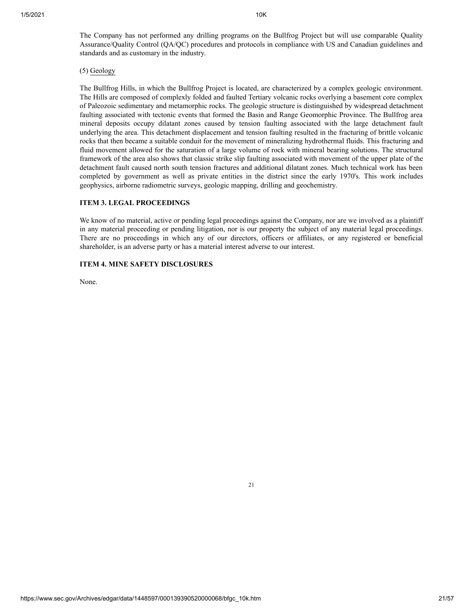The Company has not performed any drilling programs on the Bullfrog Project but will use comparable Quality Assurance/Quality Control (QA/QC) procedures and protocols in compliance with US and Canadian guidelines and standards and as customary in the industry.

# (5) Geology

The Bullfrog Hills, in which the Bullfrog Project is located, are characterized by a complex geologic environment. The Hills are composed of complexly folded and faulted Tertiary volcanic rocks overlying a basement core complex of Paleozoic sedimentary and metamorphic rocks. The geologic structure is distinguished by widespread detachment faulting associated with tectonic events that formed the Basin and Range Geomorphic Province. The Bullfrog area mineral deposits occupy dilatant zones caused by tension faulting associated with the large detachment fault underlying the area. This detachment displacement and tension faulting resulted in the fracturing of brittle volcanic rocks that then became a suitable conduit for the movement of mineralizing hydrothermal fluids. This fracturing and fluid movement allowed for the saturation of a large volume of rock with mineral bearing solutions. The structural framework of the area also shows that classic strike slip faulting associated with movement of the upper plate of the detachment fault caused north south tension fractures and additional dilatant zones. Much technical work has been completed by government as well as private entities in the district since the early 1970's. This work includes geophysics, airborne radiometric surveys, geologic mapping, drilling and geochemistry.

# <span id="page-20-0"></span>**ITEM 3. LEGAL PROCEEDINGS**

We know of no material, active or pending legal proceedings against the Company, nor are we involved as a plaintiff in any material proceeding or pending litigation, nor is our property the subject of any material legal proceedings. There are no proceedings in which any of our directors, officers or affiliates, or any registered or beneficial shareholder, is an adverse party or has a material interest adverse to our interest.

# <span id="page-20-1"></span>**ITEM 4. MINE SAFETY DISCLOSURES**

None.

 $21$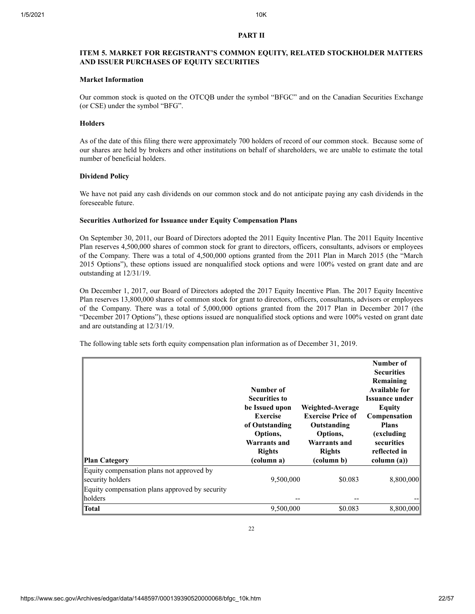#### <span id="page-21-0"></span>**PART II**

# <span id="page-21-1"></span>**ITEM 5. MARKET FOR REGISTRANT'S COMMON EQUITY, RELATED STOCKHOLDER MATTERS AND ISSUER PURCHASES OF EQUITY SECURITIES**

#### **Market Information**

Our common stock is quoted on the OTCQB under the symbol "BFGC" and on the Canadian Securities Exchange (or CSE) under the symbol "BFG".

# **Holders**

As of the date of this filing there were approximately 700 holders of record of our common stock. Because some of our shares are held by brokers and other institutions on behalf of shareholders, we are unable to estimate the total number of beneficial holders.

#### **Dividend Policy**

We have not paid any cash dividends on our common stock and do not anticipate paying any cash dividends in the foreseeable future.

#### **Securities Authorized for Issuance under Equity Compensation Plans**

On September 30, 2011, our Board of Directors adopted the 2011 Equity Incentive Plan. The 2011 Equity Incentive Plan reserves 4,500,000 shares of common stock for grant to directors, officers, consultants, advisors or employees of the Company. There was a total of 4,500,000 options granted from the 2011 Plan in March 2015 (the "March 2015 Options"), these options issued are nonqualified stock options and were 100% vested on grant date and are outstanding at 12/31/19.

On December 1, 2017, our Board of Directors adopted the 2017 Equity Incentive Plan. The 2017 Equity Incentive Plan reserves 13,800,000 shares of common stock for grant to directors, officers, consultants, advisors or employees of the Company. There was a total of 5,000,000 options granted from the 2017 Plan in December 2017 (the "December 2017 Options"), these options issued are nonqualified stock options and were 100% vested on grant date and are outstanding at 12/31/19.

The following table sets forth equity compensation plan information as of December 31, 2019.

| <b>Plan Category</b>                                                                                            | Number of<br><b>Securities to</b><br>be Issued upon<br><b>Exercise</b><br>of Outstanding<br>Options,<br>Warrants and<br><b>Rights</b><br>(column a) | Weighted-Average<br><b>Exercise Price of</b><br>Outstanding<br>Options,<br>Warrants and<br><b>Rights</b><br>(column b) | Number of<br><b>Securities</b><br>Remaining<br><b>Available for</b><br><b>Issuance under</b><br><b>Equity</b><br>Compensation<br><b>Plans</b><br>(excluding<br>securities<br>reflected in<br>column (a)) |
|-----------------------------------------------------------------------------------------------------------------|-----------------------------------------------------------------------------------------------------------------------------------------------------|------------------------------------------------------------------------------------------------------------------------|----------------------------------------------------------------------------------------------------------------------------------------------------------------------------------------------------------|
| Equity compensation plans not approved by<br>security holders<br>Equity compensation plans approved by security | 9,500,000                                                                                                                                           | \$0.083                                                                                                                | 8,800,000                                                                                                                                                                                                |
| holders<br>Total                                                                                                | --<br>9.500,000                                                                                                                                     | --<br>\$0.083                                                                                                          | 8,800,000                                                                                                                                                                                                |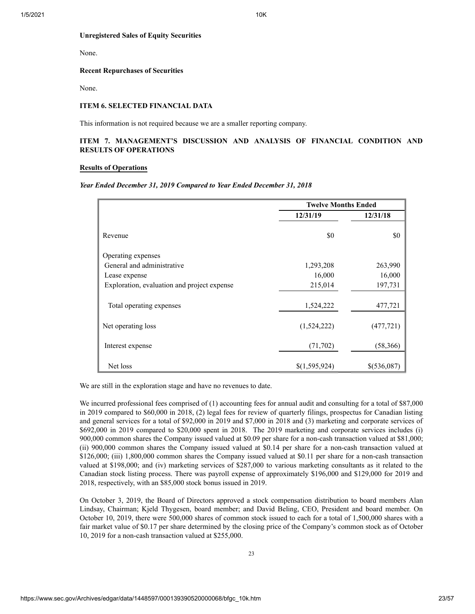#### **Unregistered Sales of Equity Securities**

None.

#### **Recent Repurchases of Securities**

None.

# <span id="page-22-0"></span>**ITEM 6. SELECTED FINANCIAL DATA**

This information is not required because we are a smaller reporting company.

# <span id="page-22-1"></span>**ITEM 7. MANAGEMENT'S DISCUSSION AND ANALYSIS OF FINANCIAL CONDITION AND RESULTS OF OPERATIONS**

#### **Results of Operations**

#### *Year Ended December 31, 2019 Compared to Year Ended December 31, 2018*

|                                             | <b>Twelve Months Ended</b> |             |  |
|---------------------------------------------|----------------------------|-------------|--|
|                                             | 12/31/19                   | 12/31/18    |  |
| Revenue                                     | \$0                        | \$0         |  |
| Operating expenses                          |                            |             |  |
| General and administrative                  | 1,293,208                  | 263,990     |  |
| Lease expense                               | 16,000                     | 16,000      |  |
| Exploration, evaluation and project expense | 215,014                    | 197,731     |  |
| Total operating expenses                    | 1,524,222                  | 477,721     |  |
| Net operating loss                          | (1,524,222)                | (477, 721)  |  |
| Interest expense                            | (71, 702)                  | (58, 366)   |  |
| Net loss                                    | \$(1,595,924)              | \$(536,087) |  |

We are still in the exploration stage and have no revenues to date.

We incurred professional fees comprised of (1) accounting fees for annual audit and consulting for a total of \$87,000 in 2019 compared to \$60,000 in 2018, (2) legal fees for review of quarterly filings, prospectus for Canadian listing and general services for a total of \$92,000 in 2019 and \$7,000 in 2018 and (3) marketing and corporate services of \$692,000 in 2019 compared to \$20,000 spent in 2018. The 2019 marketing and corporate services includes (i) 900,000 common shares the Company issued valued at \$0.09 per share for a non-cash transaction valued at \$81,000; (ii) 900,000 common shares the Company issued valued at \$0.14 per share for a non-cash transaction valued at \$126,000; (iii) 1,800,000 common shares the Company issued valued at \$0.11 per share for a non-cash transaction valued at \$198,000; and (iv) marketing services of \$287,000 to various marketing consultants as it related to the Canadian stock listing process. There was payroll expense of approximately \$196,000 and \$129,000 for 2019 and 2018, respectively, with an \$85,000 stock bonus issued in 2019.

On October 3, 2019, the Board of Directors approved a stock compensation distribution to board members Alan Lindsay, Chairman; Kjeld Thygesen, board member; and David Beling, CEO, President and board member. On October 10, 2019, there were 500,000 shares of common stock issued to each for a total of 1,500,000 shares with a fair market value of \$0.17 per share determined by the closing price of the Company's common stock as of October 10, 2019 for a non-cash transaction valued at \$255,000.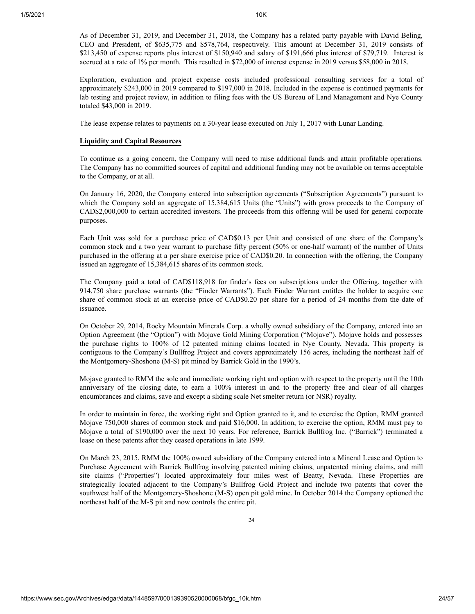As of December 31, 2019, and December 31, 2018, the Company has a related party payable with David Beling, CEO and President, of \$635,775 and \$578,764, respectively. This amount at December 31, 2019 consists of \$213,450 of expense reports plus interest of \$150,940 and salary of \$191,666 plus interest of \$79,719. Interest is accrued at a rate of 1% per month. This resulted in \$72,000 of interest expense in 2019 versus \$58,000 in 2018.

Exploration, evaluation and project expense costs included professional consulting services for a total of approximately \$243,000 in 2019 compared to \$197,000 in 2018. Included in the expense is continued payments for lab testing and project review, in addition to filing fees with the US Bureau of Land Management and Nye County totaled \$43,000 in 2019.

The lease expense relates to payments on a 30-year lease executed on July 1, 2017 with Lunar Landing.

# **Liquidity and Capital Resources**

To continue as a going concern, the Company will need to raise additional funds and attain profitable operations. The Company has no committed sources of capital and additional funding may not be available on terms acceptable to the Company, or at all.

On January 16, 2020, the Company entered into subscription agreements ("Subscription Agreements") pursuant to which the Company sold an aggregate of 15,384,615 Units (the "Units") with gross proceeds to the Company of CAD\$2,000,000 to certain accredited investors. The proceeds from this offering will be used for general corporate purposes.

Each Unit was sold for a purchase price of CAD\$0.13 per Unit and consisted of one share of the Company's common stock and a two year warrant to purchase fifty percent (50% or one-half warrant) of the number of Units purchased in the offering at a per share exercise price of CAD\$0.20. In connection with the offering, the Company issued an aggregate of 15,384,615 shares of its common stock.

The Company paid a total of CAD\$118,918 for finder's fees on subscriptions under the Offering, together with 914,750 share purchase warrants (the "Finder Warrants"). Each Finder Warrant entitles the holder to acquire one share of common stock at an exercise price of CAD\$0.20 per share for a period of 24 months from the date of issuance.

On October 29, 2014, Rocky Mountain Minerals Corp. a wholly owned subsidiary of the Company, entered into an Option Agreement (the "Option") with Mojave Gold Mining Corporation ("Mojave"). Mojave holds and possesses the purchase rights to 100% of 12 patented mining claims located in Nye County, Nevada. This property is contiguous to the Company's Bullfrog Project and covers approximately 156 acres, including the northeast half of the Montgomery-Shoshone (M-S) pit mined by Barrick Gold in the 1990's.

Mojave granted to RMM the sole and immediate working right and option with respect to the property until the 10th anniversary of the closing date, to earn a 100% interest in and to the property free and clear of all charges encumbrances and claims, save and except a sliding scale Net smelter return (or NSR) royalty.

In order to maintain in force, the working right and Option granted to it, and to exercise the Option, RMM granted Mojave 750,000 shares of common stock and paid \$16,000. In addition, to exercise the option, RMM must pay to Mojave a total of \$190,000 over the next 10 years. For reference, Barrick Bullfrog Inc. ("Barrick") terminated a lease on these patents after they ceased operations in late 1999.

On March 23, 2015, RMM the 100% owned subsidiary of the Company entered into a Mineral Lease and Option to Purchase Agreement with Barrick Bullfrog involving patented mining claims, unpatented mining claims, and mill site claims ("Properties") located approximately four miles west of Beatty, Nevada. These Properties are strategically located adjacent to the Company's Bullfrog Gold Project and include two patents that cover the southwest half of the Montgomery-Shoshone (M-S) open pit gold mine. In October 2014 the Company optioned the northeast half of the M-S pit and now controls the entire pit.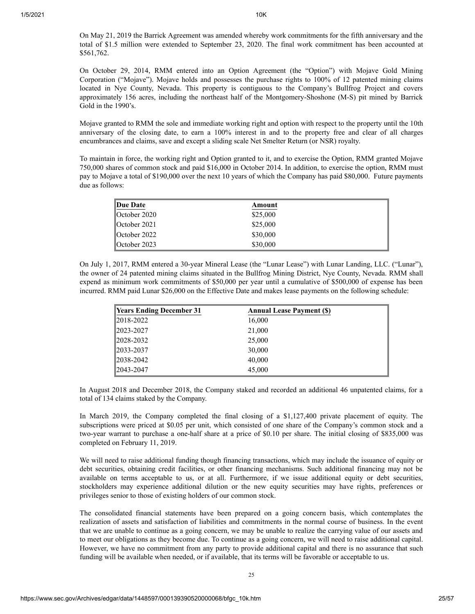On May 21, 2019 the Barrick Agreement was amended whereby work commitments for the fifth anniversary and the total of \$1.5 million were extended to September 23, 2020. The final work commitment has been accounted at \$561,762.

On October 29, 2014, RMM entered into an Option Agreement (the "Option") with Mojave Gold Mining Corporation ("Mojave"). Mojave holds and possesses the purchase rights to 100% of 12 patented mining claims located in Nye County, Nevada. This property is contiguous to the Company's Bullfrog Project and covers approximately 156 acres, including the northeast half of the Montgomery-Shoshone (M-S) pit mined by Barrick Gold in the 1990's.

Mojave granted to RMM the sole and immediate working right and option with respect to the property until the 10th anniversary of the closing date, to earn a 100% interest in and to the property free and clear of all charges encumbrances and claims, save and except a sliding scale Net Smelter Return (or NSR) royalty.

To maintain in force, the working right and Option granted to it, and to exercise the Option, RMM granted Mojave 750,000 shares of common stock and paid \$16,000 in October 2014. In addition, to exercise the option, RMM must pay to Mojave a total of \$190,000 over the next 10 years of which the Company has paid \$80,000. Future payments due as follows:

| Due Date                 | Amount   |  |
|--------------------------|----------|--|
| $\sim$ October 2020      | \$25,000 |  |
| $\parallel$ October 2021 | \$25,000 |  |
| $\sim$ October 2022      | \$30,000 |  |
| $\sim$ October 2023      | \$30,000 |  |

On July 1, 2017, RMM entered a 30-year Mineral Lease (the "Lunar Lease") with Lunar Landing, LLC. ("Lunar"), the owner of 24 patented mining claims situated in the Bullfrog Mining District, Nye County, Nevada. RMM shall expend as minimum work commitments of \$50,000 per year until a cumulative of \$500,000 of expense has been incurred. RMM paid Lunar \$26,000 on the Effective Date and makes lease payments on the following schedule:

| <b>Years Ending December 31</b> | <b>Annual Lease Payment (\$)</b> |
|---------------------------------|----------------------------------|
| 12018-2022                      | 16,000                           |
| $\parallel$ 2023-2027           | 21,000                           |
| $\parallel$ 2028-2032           | 25,000                           |
| 2033-2037                       | 30,000                           |
| 2038-2042                       | 40,000                           |
| 12043-2047                      | 45,000                           |

In August 2018 and December 2018, the Company staked and recorded an additional 46 unpatented claims, for a total of 134 claims staked by the Company.

In March 2019, the Company completed the final closing of a \$1,127,400 private placement of equity. The subscriptions were priced at \$0.05 per unit, which consisted of one share of the Company's common stock and a two-year warrant to purchase a one-half share at a price of \$0.10 per share. The initial closing of \$835,000 was completed on February 11, 2019.

We will need to raise additional funding though financing transactions, which may include the issuance of equity or debt securities, obtaining credit facilities, or other financing mechanisms. Such additional financing may not be available on terms acceptable to us, or at all. Furthermore, if we issue additional equity or debt securities, stockholders may experience additional dilution or the new equity securities may have rights, preferences or privileges senior to those of existing holders of our common stock.

The consolidated financial statements have been prepared on a going concern basis, which contemplates the realization of assets and satisfaction of liabilities and commitments in the normal course of business. In the event that we are unable to continue as a going concern, we may be unable to realize the carrying value of our assets and to meet our obligations as they become due. To continue as a going concern, we will need to raise additional capital. However, we have no commitment from any party to provide additional capital and there is no assurance that such funding will be available when needed, or if available, that its terms will be favorable or acceptable to us.

25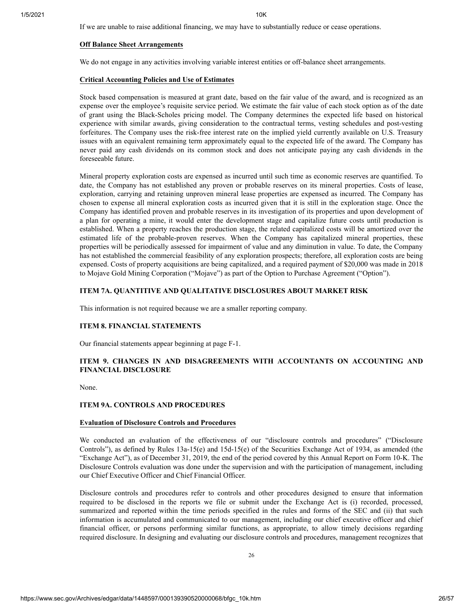If we are unable to raise additional financing, we may have to substantially reduce or cease operations.

#### **Off Balance Sheet Arrangements**

We do not engage in any activities involving variable interest entities or off-balance sheet arrangements.

#### **Critical Accounting Policies and Use of Estimates**

Stock based compensation is measured at grant date, based on the fair value of the award, and is recognized as an expense over the employee's requisite service period. We estimate the fair value of each stock option as of the date of grant using the Black-Scholes pricing model. The Company determines the expected life based on historical experience with similar awards, giving consideration to the contractual terms, vesting schedules and post-vesting forfeitures. The Company uses the risk-free interest rate on the implied yield currently available on U.S. Treasury issues with an equivalent remaining term approximately equal to the expected life of the award. The Company has never paid any cash dividends on its common stock and does not anticipate paying any cash dividends in the foreseeable future.

Mineral property exploration costs are expensed as incurred until such time as economic reserves are quantified. To date, the Company has not established any proven or probable reserves on its mineral properties. Costs of lease, exploration, carrying and retaining unproven mineral lease properties are expensed as incurred. The Company has chosen to expense all mineral exploration costs as incurred given that it is still in the exploration stage. Once the Company has identified proven and probable reserves in its investigation of its properties and upon development of a plan for operating a mine, it would enter the development stage and capitalize future costs until production is established. When a property reaches the production stage, the related capitalized costs will be amortized over the estimated life of the probable-proven reserves. When the Company has capitalized mineral properties, these properties will be periodically assessed for impairment of value and any diminution in value. To date, the Company has not established the commercial feasibility of any exploration prospects; therefore, all exploration costs are being expensed. Costs of property acquisitions are being capitalized, and a required payment of \$20,000 was made in 2018 to Mojave Gold Mining Corporation ("Mojave") as part of the Option to Purchase Agreement ("Option").

# <span id="page-25-0"></span>**ITEM 7A. QUANTITIVE AND QUALITATIVE DISCLOSURES ABOUT MARKET RISK**

This information is not required because we are a smaller reporting company.

#### <span id="page-25-1"></span>**ITEM 8. FINANCIAL STATEMENTS**

Our financial statements appear beginning at page F-1.

# <span id="page-25-2"></span>**ITEM 9. CHANGES IN AND DISAGREEMENTS WITH ACCOUNTANTS ON ACCOUNTING AND FINANCIAL DISCLOSURE**

None.

#### <span id="page-25-3"></span>**ITEM 9A. CONTROLS AND PROCEDURES**

#### **Evaluation of Disclosure Controls and Procedures**

We conducted an evaluation of the effectiveness of our "disclosure controls and procedures" ("Disclosure Controls"), as defined by Rules  $13a-15(e)$  and  $15d-15(e)$  of the Securities Exchange Act of 1934, as amended (the "Exchange Act"), as of December 31, 2019, the end of the period covered by this Annual Report on Form 10-K. The Disclosure Controls evaluation was done under the supervision and with the participation of management, including our Chief Executive Officer and Chief Financial Officer.

Disclosure controls and procedures refer to controls and other procedures designed to ensure that information required to be disclosed in the reports we file or submit under the Exchange Act is (i) recorded, processed, summarized and reported within the time periods specified in the rules and forms of the SEC and (ii) that such information is accumulated and communicated to our management, including our chief executive officer and chief financial officer, or persons performing similar functions, as appropriate, to allow timely decisions regarding required disclosure. In designing and evaluating our disclosure controls and procedures, management recognizes that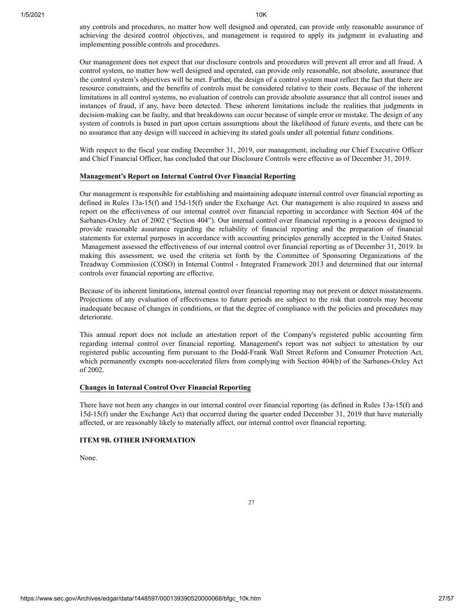any controls and procedures, no matter how well designed and operated, can provide only reasonable assurance of achieving the desired control objectives, and management is required to apply its judgment in evaluating and implementing possible controls and procedures.

Our management does not expect that our disclosure controls and procedures will prevent all error and all fraud. A control system, no matter how well designed and operated, can provide only reasonable, not absolute, assurance that the control system's objectives will be met. Further, the design of a control system must reflect the fact that there are resource constraints, and the benefits of controls must be considered relative to their costs. Because of the inherent limitations in all control systems, no evaluation of controls can provide absolute assurance that all control issues and instances of fraud, if any, have been detected. These inherent limitations include the realities that judgments in decision-making can be faulty, and that breakdowns can occur because of simple error or mistake. The design of any system of controls is based in part upon certain assumptions about the likelihood of future events, and there can be no assurance that any design will succeed in achieving its stated goals under all potential future conditions.

With respect to the fiscal year ending December 31, 2019, our management, including our Chief Executive Officer and Chief Financial Officer, has concluded that our Disclosure Controls were effective as of December 31, 2019.

#### **Management's Report on Internal Control Over Financial Reporting**

Our management is responsible for establishing and maintaining adequate internal control over financial reporting as defined in Rules 13a-15(f) and 15d-15(f) under the Exchange Act. Our management is also required to assess and report on the effectiveness of our internal control over financial reporting in accordance with Section 404 of the Sarbanes-Oxley Act of 2002 ("Section 404"). Our internal control over financial reporting is a process designed to provide reasonable assurance regarding the reliability of financial reporting and the preparation of financial statements for external purposes in accordance with accounting principles generally accepted in the United States. Management assessed the effectiveness of our internal control over financial reporting as of December 31, 2019. In making this assessment, we used the criteria set forth by the Committee of Sponsoring Organizations of the Treadway Commission (COSO) in Internal Control - Integrated Framework 2013 and determined that our internal controls over financial reporting are effective.

Because of its inherent limitations, internal control over financial reporting may not prevent or detect misstatements. Projections of any evaluation of effectiveness to future periods are subject to the risk that controls may become inadequate because of changes in conditions, or that the degree of compliance with the policies and procedures may deteriorate.

This annual report does not include an attestation report of the Company's registered public accounting firm regarding internal control over financial reporting. Management's report was not subject to attestation by our registered public accounting firm pursuant to the Dodd-Frank Wall Street Reform and Consumer Protection Act, which permanently exempts non-accelerated filers from complying with Section 404(b) of the Sarbanes-Oxley Act of 2002.

#### **Changes in Internal Control Over Financial Reporting**

There have not been any changes in our internal control over financial reporting (as defined in Rules 13a-15(f) and 15d-15(f) under the Exchange Act) that occurred during the quarter ended December 31, 2019 that have materially affected, or are reasonably likely to materially affect, our internal control over financial reporting.

# <span id="page-26-0"></span>**ITEM 9B. OTHER INFORMATION**

None.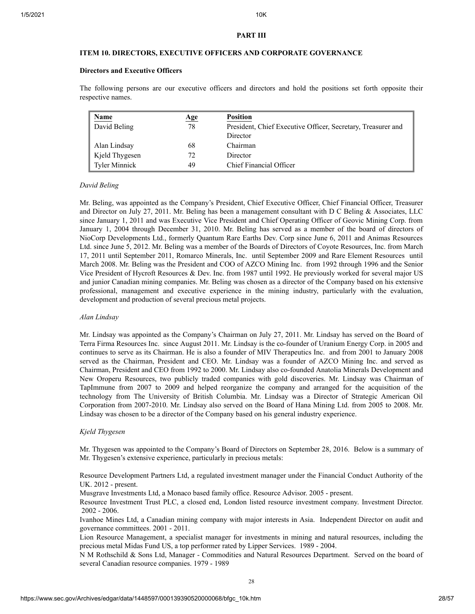#### <span id="page-27-0"></span>**PART III**

#### <span id="page-27-1"></span>**ITEM 10. DIRECTORS, EXECUTIVE OFFICERS AND CORPORATE GOVERNANCE**

#### **Directors and Executive Officers**

The following persons are our executive officers and directors and hold the positions set forth opposite their respective names.

| Name           | <u>Age</u> | <b>Position</b>                                              |
|----------------|------------|--------------------------------------------------------------|
| David Beling   | 78         | President, Chief Executive Officer, Secretary, Treasurer and |
|                |            | Director                                                     |
| Alan Lindsay   | 68         | Chairman                                                     |
| Kjeld Thygesen | 72         | Director                                                     |
| Tyler Minnick  | 49         | Chief Financial Officer                                      |

*David Beling*

Mr. Beling, was appointed as the Company's President, Chief Executive Officer, Chief Financial Officer, Treasurer and Director on July 27, 2011. Mr. Beling has been a management consultant with D C Beling & Associates, LLC since January 1, 2011 and was Executive Vice President and Chief Operating Officer of Geovic Mining Corp. from January 1, 2004 through December 31, 2010. Mr. Beling has served as a member of the board of directors of NioCorp Developments Ltd., formerly Quantum Rare Earths Dev. Corp since June 6, 2011 and Animas Resources Ltd. since June 5, 2012. Mr. Beling was a member of the Boards of Directors of Coyote Resources, Inc. from March 17, 2011 until September 2011, Romarco Minerals, Inc. until September 2009 and Rare Element Resources until March 2008. Mr. Beling was the President and COO of AZCO Mining Inc. from 1992 through 1996 and the Senior Vice President of Hycroft Resources & Dev. Inc. from 1987 until 1992. He previously worked for several major US and junior Canadian mining companies. Mr. Beling was chosen as a director of the Company based on his extensive professional, management and executive experience in the mining industry, particularly with the evaluation, development and production of several precious metal projects.

#### *Alan Lindsay*

Mr. Lindsay was appointed as the Company's Chairman on July 27, 2011. Mr. Lindsay has served on the Board of Terra Firma Resources Inc. since August 2011. Mr. Lindsay is the co-founder of Uranium Energy Corp. in 2005 and continues to serve as its Chairman. He is also a founder of MIV Therapeutics Inc. and from 2001 to January 2008 served as the Chairman, President and CEO. Mr. Lindsay was a founder of AZCO Mining Inc. and served as Chairman, President and CEO from 1992 to 2000. Mr. Lindsay also co-founded Anatolia Minerals Development and New Oroperu Resources, two publicly traded companies with gold discoveries. Mr. Lindsay was Chairman of TapImmune from 2007 to 2009 and helped reorganize the company and arranged for the acquisition of the technology from The University of British Columbia. Mr. Lindsay was a Director of Strategic American Oil Corporation from 2007-2010. Mr. Lindsay also served on the Board of Hana Mining Ltd. from 2005 to 2008. Mr. Lindsay was chosen to be a director of the Company based on his general industry experience.

#### *Kjeld Thygesen*

Mr. Thygesen was appointed to the Company's Board of Directors on September 28, 2016. Below is a summary of Mr. Thygesen's extensive experience, particularly in precious metals:

Resource Development Partners Ltd, a regulated investment manager under the Financial Conduct Authority of the UK. 2012 - present.

Musgrave Investments Ltd, a Monaco based family office. Resource Advisor. 2005 - present.

Resource Investment Trust PLC, a closed end, London listed resource investment company. Investment Director. 2002 - 2006.

Ivanhoe Mines Ltd, a Canadian mining company with major interests in Asia. Independent Director on audit and governance committees. 2001 - 2011.

Lion Resource Management, a specialist manager for investments in mining and natural resources, including the precious metal Midas Fund US, a top performer rated by Lipper Services. 1989 - 2004.

N M Rothschild & Sons Ltd, Manager - Commodities and Natural Resources Department. Served on the board of several Canadian resource companies. 1979 - 1989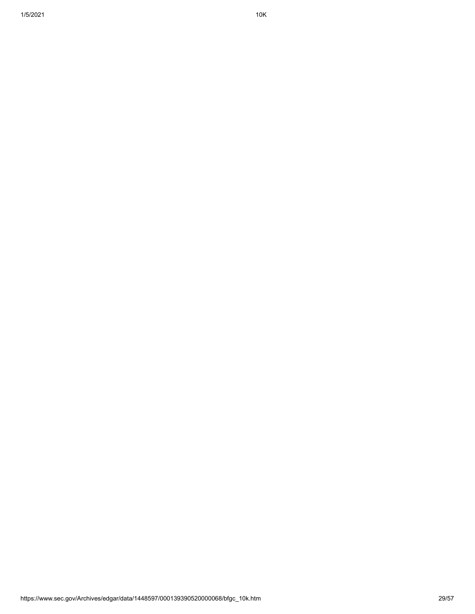https://www.sec.gov/Archives/edgar/data/1448597/000139390520000068/bfgc\_10k.htm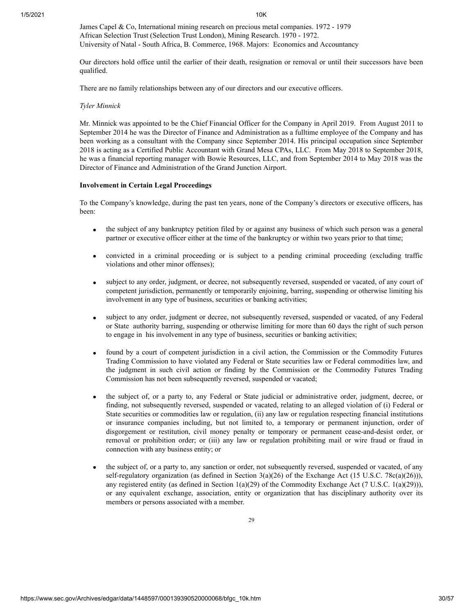James Capel & Co, International mining research on precious metal companies. 1972 - 1979 African Selection Trust (Selection Trust London), Mining Research. 1970 - 1972. University of Natal - South Africa, B. Commerce, 1968. Majors: Economics and Accountancy

Our directors hold office until the earlier of their death, resignation or removal or until their successors have been qualified.

There are no family relationships between any of our directors and our executive officers.

#### *Tyler Minnick*

Mr. Minnick was appointed to be the Chief Financial Officer for the Company in April 2019. From August 2011 to September 2014 he was the Director of Finance and Administration as a fulltime employee of the Company and has been working as a consultant with the Company since September 2014. His principal occupation since September 2018 is acting as a Certified Public Accountant with Grand Mesa CPAs, LLC. From May 2018 to September 2018, he was a financial reporting manager with Bowie Resources, LLC, and from September 2014 to May 2018 was the Director of Finance and Administration of the Grand Junction Airport.

#### **Involvement in Certain Legal Proceedings**

To the Company's knowledge, during the past ten years, none of the Company's directors or executive officers, has been:

- the subject of any bankruptcy petition filed by or against any business of which such person was a general partner or executive officer either at the time of the bankruptcy or within two years prior to that time; ·
- convicted in a criminal proceeding or is subject to a pending criminal proceeding (excluding traffic violations and other minor offenses); ·
- subject to any order, judgment, or decree, not subsequently reversed, suspended or vacated, of any court of competent jurisdiction, permanently or temporarily enjoining, barring, suspending or otherwise limiting his involvement in any type of business, securities or banking activities; ·
- subject to any order, judgment or decree, not subsequently reversed, suspended or vacated, of any Federal or State authority barring, suspending or otherwise limiting for more than 60 days the right of such person to engage in his involvement in any type of business, securities or banking activities; ·
- found by a court of competent jurisdiction in a civil action, the Commission or the Commodity Futures Trading Commission to have violated any Federal or State securities law or Federal commodities law, and the judgment in such civil action or finding by the Commission or the Commodity Futures Trading Commission has not been subsequently reversed, suspended or vacated; ·
- the subject of, or a party to, any Federal or State judicial or administrative order, judgment, decree, or finding, not subsequently reversed, suspended or vacated, relating to an alleged violation of (i) Federal or State securities or commodities law or regulation, (ii) any law or regulation respecting financial institutions or insurance companies including, but not limited to, a temporary or permanent injunction, order of disgorgement or restitution, civil money penalty or temporary or permanent cease-and-desist order, or removal or prohibition order; or (iii) any law or regulation prohibiting mail or wire fraud or fraud in connection with any business entity; or ·
- the subject of, or a party to, any sanction or order, not subsequently reversed, suspended or vacated, of any self-regulatory organization (as defined in Section 3(a)(26) of the Exchange Act (15 U.S.C. 78c(a)(26))), any registered entity (as defined in Section 1(a)(29) of the Commodity Exchange Act (7 U.S.C. 1(a)(29))), or any equivalent exchange, association, entity or organization that has disciplinary authority over its members or persons associated with a member. ·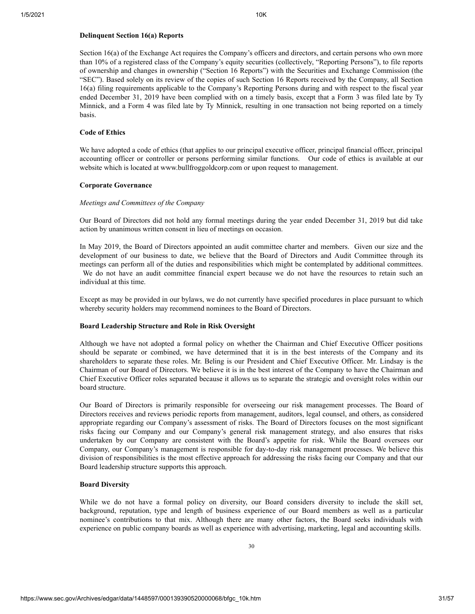#### **Delinquent Section 16(a) Reports**

Section 16(a) of the Exchange Act requires the Company's officers and directors, and certain persons who own more than 10% of a registered class of the Company's equity securities (collectively, "Reporting Persons"), to file reports of ownership and changes in ownership ("Section 16 Reports") with the Securities and Exchange Commission (the "SEC"). Based solely on its review of the copies of such Section 16 Reports received by the Company, all Section 16(a) filing requirements applicable to the Company's Reporting Persons during and with respect to the fiscal year ended December 31, 2019 have been complied with on a timely basis, except that a Form 3 was filed late by Ty Minnick, and a Form 4 was filed late by Ty Minnick, resulting in one transaction not being reported on a timely basis.

### **Code of Ethics**

We have adopted a code of ethics (that applies to our principal executive officer, principal financial officer, principal accounting officer or controller or persons performing similar functions. Our code of ethics is available at our website which is located at www.bullfroggoldcorp.com or upon request to management.

#### **Corporate Governance**

#### *Meetings and Committees of the Company*

Our Board of Directors did not hold any formal meetings during the year ended December 31, 2019 but did take action by unanimous written consent in lieu of meetings on occasion.

In May 2019, the Board of Directors appointed an audit committee charter and members. Given our size and the development of our business to date, we believe that the Board of Directors and Audit Committee through its meetings can perform all of the duties and responsibilities which might be contemplated by additional committees. We do not have an audit committee financial expert because we do not have the resources to retain such an individual at this time.

Except as may be provided in our bylaws, we do not currently have specified procedures in place pursuant to which whereby security holders may recommend nominees to the Board of Directors.

#### **Board Leadership Structure and Role in Risk Oversight**

Although we have not adopted a formal policy on whether the Chairman and Chief Executive Officer positions should be separate or combined, we have determined that it is in the best interests of the Company and its shareholders to separate these roles. Mr. Beling is our President and Chief Executive Officer. Mr. Lindsay is the Chairman of our Board of Directors. We believe it is in the best interest of the Company to have the Chairman and Chief Executive Officer roles separated because it allows us to separate the strategic and oversight roles within our board structure.

Our Board of Directors is primarily responsible for overseeing our risk management processes. The Board of Directors receives and reviews periodic reports from management, auditors, legal counsel, and others, as considered appropriate regarding our Company's assessment of risks. The Board of Directors focuses on the most significant risks facing our Company and our Company's general risk management strategy, and also ensures that risks undertaken by our Company are consistent with the Board's appetite for risk. While the Board oversees our Company, our Company's management is responsible for day-to-day risk management processes. We believe this division of responsibilities is the most effective approach for addressing the risks facing our Company and that our Board leadership structure supports this approach.

#### **Board Diversity**

While we do not have a formal policy on diversity, our Board considers diversity to include the skill set, background, reputation, type and length of business experience of our Board members as well as a particular nominee's contributions to that mix. Although there are many other factors, the Board seeks individuals with experience on public company boards as well as experience with advertising, marketing, legal and accounting skills.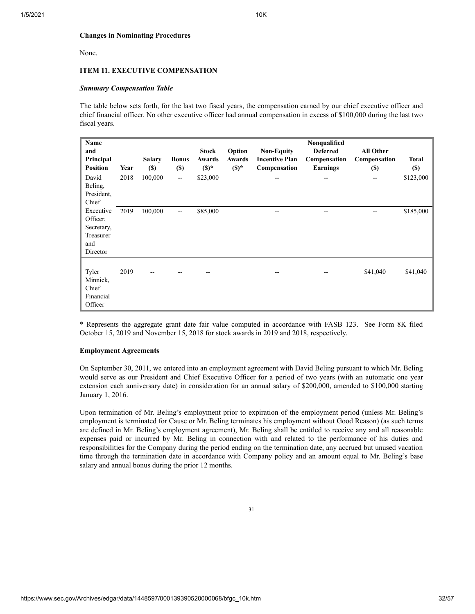#### **Changes in Nominating Procedures**

None.

#### <span id="page-31-0"></span>**ITEM 11. EXECUTIVE COMPENSATION**

### *Summary Compensation Table*

The table below sets forth, for the last two fiscal years, the compensation earned by our chief executive officer and chief financial officer. No other executive officer had annual compensation in excess of \$100,000 during the last two fiscal years.

| Name<br>and<br>Principal<br><b>Position</b>                         | Year | <b>Salary</b><br><b>(\$)</b> | <b>Bonus</b><br>$(\$)$ | <b>Stock</b><br>Awards<br>$(S)^*$ | Option<br>Awards<br>$(S)^*$ | <b>Non-Equity</b><br><b>Incentive Plan</b><br>Compensation | Nonqualified<br><b>Deferred</b><br>Compensation<br><b>Earnings</b> | <b>All Other</b><br>Compensation<br>$(\$)$ | <b>Total</b><br>$\left( \mathbb{S}\right)$ |
|---------------------------------------------------------------------|------|------------------------------|------------------------|-----------------------------------|-----------------------------|------------------------------------------------------------|--------------------------------------------------------------------|--------------------------------------------|--------------------------------------------|
| David<br>Beling,<br>President,<br>Chief                             | 2018 | 100,000                      | $\mathbf{u}$           | \$23,000                          |                             | --                                                         | --                                                                 | $-$                                        | \$123,000                                  |
| Executive<br>Officer,<br>Secretary,<br>Treasurer<br>and<br>Director | 2019 | 100,000                      | --                     | \$85,000                          |                             | --                                                         | --                                                                 |                                            | \$185,000                                  |
|                                                                     |      |                              |                        |                                   |                             |                                                            |                                                                    |                                            |                                            |
| Tyler<br>Minnick,<br>Chief<br>Financial<br>Officer                  | 2019 |                              |                        | --                                |                             | --                                                         |                                                                    | \$41,040                                   | \$41,040                                   |

\* Represents the aggregate grant date fair value computed in accordance with FASB 123. See Form 8K filed October 15, 2019 and November 15, 2018 for stock awards in 2019 and 2018, respectively.

### **Employment Agreements**

On September 30, 2011, we entered into an employment agreement with David Beling pursuant to which Mr. Beling would serve as our President and Chief Executive Officer for a period of two years (with an automatic one year extension each anniversary date) in consideration for an annual salary of \$200,000, amended to \$100,000 starting January 1, 2016.

Upon termination of Mr. Beling's employment prior to expiration of the employment period (unless Mr. Beling's employment is terminated for Cause or Mr. Beling terminates his employment without Good Reason) (as such terms are defined in Mr. Beling's employment agreement), Mr. Beling shall be entitled to receive any and all reasonable expenses paid or incurred by Mr. Beling in connection with and related to the performance of his duties and responsibilities for the Company during the period ending on the termination date, any accrued but unused vacation time through the termination date in accordance with Company policy and an amount equal to Mr. Beling's base salary and annual bonus during the prior 12 months.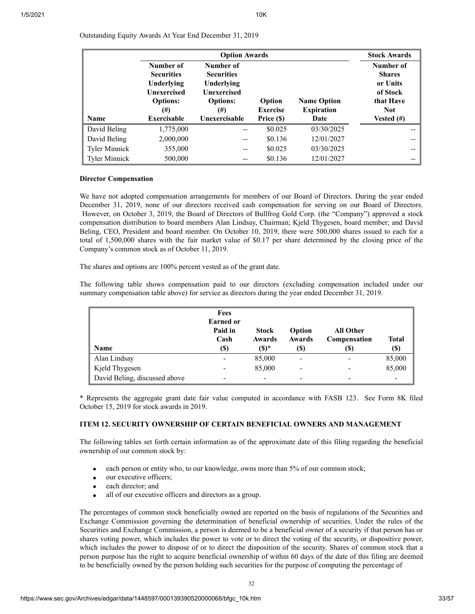|               |                                                                                       |                                                                                                    | <b>Stock Awards</b>       |                                         |                                                                               |
|---------------|---------------------------------------------------------------------------------------|----------------------------------------------------------------------------------------------------|---------------------------|-----------------------------------------|-------------------------------------------------------------------------------|
|               | Number of<br><b>Securities</b><br>Underlying<br>Unexercised<br><b>Options:</b><br>(#) | Number of<br><b>Securities</b><br>Underlying<br><b>Unexercised</b><br><b>Options:</b><br>$^{(\#)}$ | Option<br><b>Exercise</b> | <b>Name Option</b><br><b>Expiration</b> | Number of<br><b>Shares</b><br>or Units<br>of Stock<br>that Have<br><b>Not</b> |
| <b>Name</b>   | <b>Exercisable</b>                                                                    | Unexercisable                                                                                      | Price (\$)                | Date                                    | Vested $(\#)$                                                                 |
| David Beling  | 1,775,000                                                                             | $\overline{a}$                                                                                     | \$0.025                   | 03/30/2025                              | $- -$                                                                         |
| David Beling  | 2,000,000                                                                             | --                                                                                                 | \$0.136                   | 12/01/2027                              | --                                                                            |
| Tyler Minnick | 355,000                                                                               | --                                                                                                 | \$0.025                   | 03/30/2025                              | --                                                                            |
| Tyler Minnick | 500,000                                                                               | --                                                                                                 | \$0.136                   | 12/01/2027                              | --                                                                            |

Outstanding Equity Awards At Year End December 31, 2019

#### **Director Compensation**

We have not adopted compensation arrangements for members of our Board of Directors. During the year ended December 31, 2019, none of our directors received cash compensation for serving on our Board of Directors. However, on October 3, 2019, the Board of Directors of Bullfrog Gold Corp. (the "Company") approved a stock compensation distribution to board members Alan Lindsay, Chairman; Kjeld Thygesen, board member; and David Beling, CEO, President and board member. On October 10, 2019, there were 500,000 shares issued to each for a total of 1,500,000 shares with the fair market value of \$0.17 per share determined by the closing price of the Company's common stock as of October 11, 2019.

The shares and options are 100% percent vested as of the grant date.

The following table shows compensation paid to our directors (excluding compensation included under our summary compensation table above) for service as directors during the year ended December 31, 2019.

| <b>Name</b>                   | Fees<br><b>Earned or</b><br>Paid in<br>Cash<br>(\$) | <b>Stock</b><br><b>Awards</b><br>(\$)* | Option<br><b>Awards</b><br>(S) | <b>All Other</b><br>Compensation<br>(\$) | <b>Total</b><br>(\$)     |
|-------------------------------|-----------------------------------------------------|----------------------------------------|--------------------------------|------------------------------------------|--------------------------|
| Alan Lindsay                  | $\overline{\phantom{a}}$                            | 85,000                                 | $\overline{\phantom{a}}$       |                                          | 85,000                   |
| Kjeld Thygesen                | $\overline{\phantom{a}}$                            | 85,000                                 | $\overline{\phantom{a}}$       |                                          | 85,000                   |
| David Beling, discussed above | -                                                   | $\overline{\phantom{a}}$               | $\overline{\phantom{0}}$       |                                          | $\overline{\phantom{a}}$ |

\* Represents the aggregate grant date fair value computed in accordance with FASB 123. See Form 8K filed October 15, 2019 for stock awards in 2019.

#### <span id="page-32-0"></span>**ITEM 12. SECURITY OWNERSHIP OF CERTAIN BENEFICIAL OWNERS AND MANAGEMENT**

The following tables set forth certain information as of the approximate date of this filing regarding the beneficial ownership of our common stock by:

- each person or entity who, to our knowledge, owns more than 5% of our common stock; ·
- our executive officers; ·
- each director; and ·
- all of our executive officers and directors as a group. ·

The percentages of common stock beneficially owned are reported on the basis of regulations of the Securities and Exchange Commission governing the determination of beneficial ownership of securities. Under the rules of the Securities and Exchange Commission, a person is deemed to be a beneficial owner of a security if that person has or shares voting power, which includes the power to vote or to direct the voting of the security, or dispositive power, which includes the power to dispose of or to direct the disposition of the security. Shares of common stock that a person purpose has the right to acquire beneficial ownership of within 60 days of the date of this filing are deemed to be beneficially owned by the person holding such securities for the purpose of computing the percentage of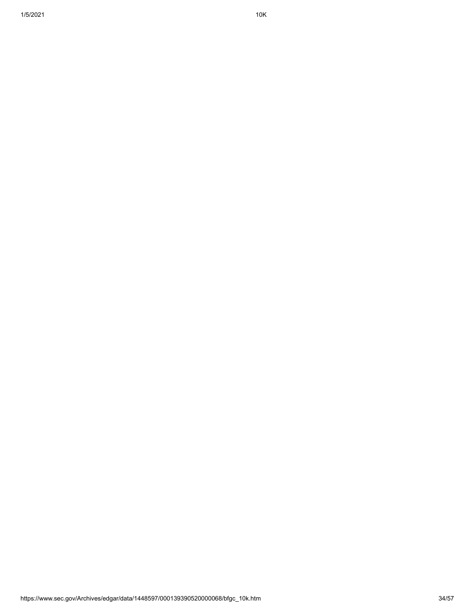https://www.sec.gov/Archives/edgar/data/1448597/000139390520000068/bfgc\_10k.htm 34/57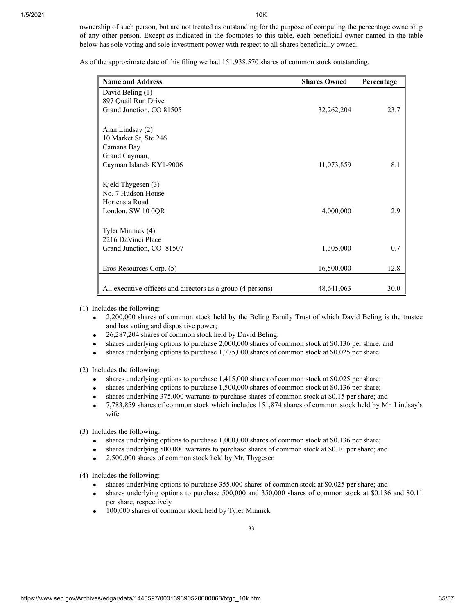ownership of such person, but are not treated as outstanding for the purpose of computing the percentage ownership of any other person. Except as indicated in the footnotes to this table, each beneficial owner named in the table below has sole voting and sole investment power with respect to all shares beneficially owned.

As of the approximate date of this filing we had 151,938,570 shares of common stock outstanding.

| <b>Name and Address</b>                                     | <b>Shares Owned</b> | Percentage |
|-------------------------------------------------------------|---------------------|------------|
| David Beling (1)                                            |                     |            |
| 897 Quail Run Drive                                         |                     |            |
| Grand Junction, CO 81505                                    | 32,262,204          | 23.7       |
|                                                             |                     |            |
| Alan Lindsay (2)                                            |                     |            |
| 10 Market St, Ste 246                                       |                     |            |
| Camana Bay                                                  |                     |            |
| Grand Cayman,                                               |                     |            |
| Cayman Islands KY1-9006                                     | 11,073,859          | 8.1        |
|                                                             |                     |            |
| Kjeld Thygesen (3)                                          |                     |            |
| No. 7 Hudson House                                          |                     |            |
| Hortensia Road                                              |                     |            |
| London, SW 10 0QR                                           | 4,000,000           | 2.9        |
|                                                             |                     |            |
| Tyler Minnick (4)                                           |                     |            |
| 2216 DaVinci Place                                          |                     |            |
| Grand Junction, CO 81507                                    | 1,305,000           | 0.7        |
|                                                             |                     |            |
| Eros Resources Corp. (5)                                    | 16,500,000          | 12.8       |
|                                                             |                     |            |
| All executive officers and directors as a group (4 persons) | 48,641,063          | 30.0       |

(1) Includes the following:

- 2,200,000 shares of common stock held by the Beling Family Trust of which David Beling is the trustee and has voting and dispositive power; ·
- 26,287,204 shares of common stock held by David Beling; ·
- shares underlying options to purchase 2,000,000 shares of common stock at \$0.136 per share; and ·
- shares underlying options to purchase 1,775,000 shares of common stock at \$0.025 per share ·

(2) Includes the following:

- shares underlying options to purchase 1,415,000 shares of common stock at \$0.025 per share; ·
- shares underlying options to purchase 1,500,000 shares of common stock at \$0.136 per share; ·
- shares underlying 375,000 warrants to purchase shares of common stock at \$0.15 per share; and ·
- 7,783,859 shares of common stock which includes 151,874 shares of common stock held by Mr. Lindsay's wife. ·

(3) Includes the following:

- shares underlying options to purchase 1,000,000 shares of common stock at \$0.136 per share; ·
- shares underlying 500,000 warrants to purchase shares of common stock at \$0.10 per share; and ·
- 2,500,000 shares of common stock held by Mr. Thygesen ·

(4) Includes the following:

- shares underlying options to purchase 355,000 shares of common stock at \$0.025 per share; and ·
- shares underlying options to purchase 500,000 and 350,000 shares of common stock at \$0.136 and \$0.11 per share, respectively ·
- 100,000 shares of common stock held by Tyler Minnick ·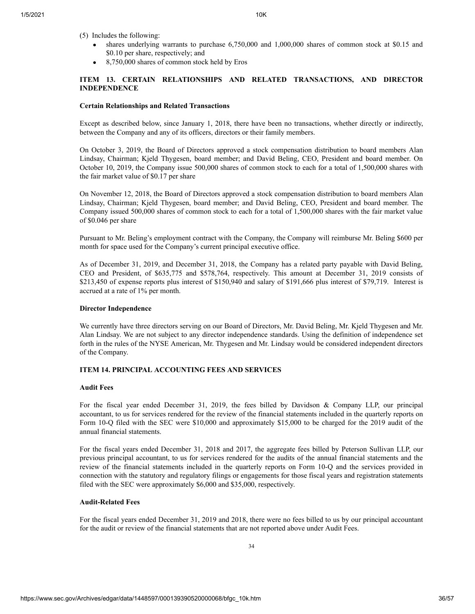- (5) Includes the following:
	- shares underlying warrants to purchase 6,750,000 and 1,000,000 shares of common stock at \$0.15 and \$0.10 per share, respectively; and ·
	- 8,750,000 shares of common stock held by Eros ·

# <span id="page-35-0"></span>**ITEM 13. CERTAIN RELATIONSHIPS AND RELATED TRANSACTIONS, AND DIRECTOR INDEPENDENCE**

#### **Certain Relationships and Related Transactions**

Except as described below, since January 1, 2018, there have been no transactions, whether directly or indirectly, between the Company and any of its officers, directors or their family members.

On October 3, 2019, the Board of Directors approved a stock compensation distribution to board members Alan Lindsay, Chairman; Kjeld Thygesen, board member; and David Beling, CEO, President and board member. On October 10, 2019, the Company issue 500,000 shares of common stock to each for a total of 1,500,000 shares with the fair market value of \$0.17 per share

On November 12, 2018, the Board of Directors approved a stock compensation distribution to board members Alan Lindsay, Chairman; Kjeld Thygesen, board member; and David Beling, CEO, President and board member. The Company issued 500,000 shares of common stock to each for a total of 1,500,000 shares with the fair market value of \$0.046 per share

Pursuant to Mr. Beling's employment contract with the Company, the Company will reimburse Mr. Beling \$600 per month for space used for the Company's current principal executive office.

As of December 31, 2019, and December 31, 2018, the Company has a related party payable with David Beling, CEO and President, of \$635,775 and \$578,764, respectively. This amount at December 31, 2019 consists of \$213,450 of expense reports plus interest of \$150,940 and salary of \$191,666 plus interest of \$79,719. Interest is accrued at a rate of 1% per month.

#### **Director Independence**

We currently have three directors serving on our Board of Directors, Mr. David Beling, Mr. Kjeld Thygesen and Mr. Alan Lindsay. We are not subject to any director independence standards. Using the definition of independence set forth in the rules of the NYSE American, Mr. Thygesen and Mr. Lindsay would be considered independent directors of the Company.

# <span id="page-35-1"></span>**ITEM 14. PRINCIPAL ACCOUNTING FEES AND SERVICES**

# **Audit Fees**

For the fiscal year ended December 31, 2019, the fees billed by Davidson & Company LLP, our principal accountant, to us for services rendered for the review of the financial statements included in the quarterly reports on Form 10-Q filed with the SEC were \$10,000 and approximately \$15,000 to be charged for the 2019 audit of the annual financial statements.

For the fiscal years ended December 31, 2018 and 2017, the aggregate fees billed by Peterson Sullivan LLP, our previous principal accountant, to us for services rendered for the audits of the annual financial statements and the review of the financial statements included in the quarterly reports on Form 10-Q and the services provided in connection with the statutory and regulatory filings or engagements for those fiscal years and registration statements filed with the SEC were approximately \$6,000 and \$35,000, respectively.

#### **Audit-Related Fees**

For the fiscal years ended December 31, 2019 and 2018, there were no fees billed to us by our principal accountant for the audit or review of the financial statements that are not reported above under Audit Fees.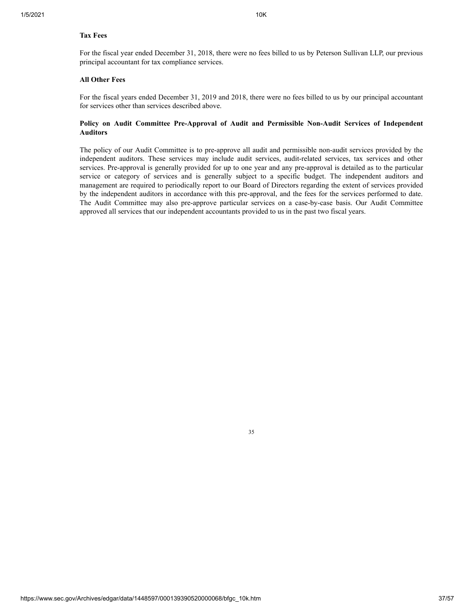#### **Tax Fees**

For the fiscal year ended December 31, 2018, there were no fees billed to us by Peterson Sullivan LLP, our previous principal accountant for tax compliance services.

# **All Other Fees**

For the fiscal years ended December 31, 2019 and 2018, there were no fees billed to us by our principal accountant for services other than services described above.

# **Policy on Audit Committee Pre-Approval of Audit and Permissible Non-Audit Services of Independent Auditors**

The policy of our Audit Committee is to pre-approve all audit and permissible non-audit services provided by the independent auditors. These services may include audit services, audit-related services, tax services and other services. Pre-approval is generally provided for up to one year and any pre-approval is detailed as to the particular service or category of services and is generally subject to a specific budget. The independent auditors and management are required to periodically report to our Board of Directors regarding the extent of services provided by the independent auditors in accordance with this pre-approval, and the fees for the services performed to date. The Audit Committee may also pre-approve particular services on a case-by-case basis. Our Audit Committee approved all services that our independent accountants provided to us in the past two fiscal years.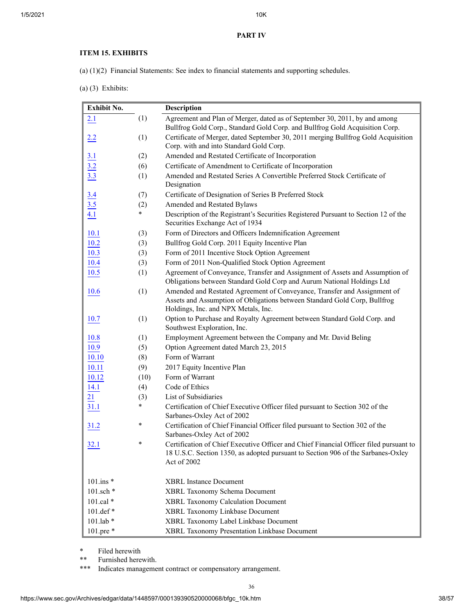# <span id="page-37-0"></span>**PART IV**

# <span id="page-37-1"></span>**ITEM 15. EXHIBITS**

(a) (1)(2) Financial Statements: See index to financial statements and supporting schedules.

(a) (3) Exhibits:

| <b>Exhibit No.</b>                     |        | <b>Description</b>                                                                                                                                                                           |
|----------------------------------------|--------|----------------------------------------------------------------------------------------------------------------------------------------------------------------------------------------------|
| 2.1                                    | (1)    | Agreement and Plan of Merger, dated as of September 30, 2011, by and among                                                                                                                   |
|                                        |        | Bullfrog Gold Corp., Standard Gold Corp. and Bullfrog Gold Acquisition Corp.                                                                                                                 |
| 2.2                                    | (1)    | Certificate of Merger, dated September 30, 2011 merging Bullfrog Gold Acquisition                                                                                                            |
|                                        |        | Corp. with and into Standard Gold Corp.                                                                                                                                                      |
| 3.1                                    | (2)    | Amended and Restated Certificate of Incorporation                                                                                                                                            |
|                                        | (6)    | Certificate of Amendment to Certificate of Incorporation                                                                                                                                     |
| $\frac{3.2}{3.3}$                      | (1)    | Amended and Restated Series A Convertible Preferred Stock Certificate of<br>Designation                                                                                                      |
|                                        | (7)    | Certificate of Designation of Series B Preferred Stock                                                                                                                                       |
|                                        | (2)    | Amended and Restated Bylaws                                                                                                                                                                  |
| $\frac{3.4}{3.5}$<br>$\frac{4.1}{4.1}$ | $\ast$ | Description of the Registrant's Securities Registered Pursuant to Section 12 of the<br>Securities Exchange Act of 1934                                                                       |
| 10.1                                   | (3)    | Form of Directors and Officers Indemnification Agreement                                                                                                                                     |
| 10.2                                   | (3)    | Bullfrog Gold Corp. 2011 Equity Incentive Plan                                                                                                                                               |
| 10.3                                   | (3)    | Form of 2011 Incentive Stock Option Agreement                                                                                                                                                |
| 10.4                                   | (3)    | Form of 2011 Non-Qualified Stock Option Agreement                                                                                                                                            |
| 10.5                                   | (1)    | Agreement of Conveyance, Transfer and Assignment of Assets and Assumption of<br>Obligations between Standard Gold Corp and Aurum National Holdings Ltd                                       |
| 10.6                                   | (1)    | Amended and Restated Agreement of Conveyance, Transfer and Assignment of<br>Assets and Assumption of Obligations between Standard Gold Corp, Bullfrog<br>Holdings, Inc. and NPX Metals, Inc. |
| 10.7                                   | (1)    | Option to Purchase and Royalty Agreement between Standard Gold Corp. and<br>Southwest Exploration, Inc.                                                                                      |
| 10.8                                   | (1)    | Employment Agreement between the Company and Mr. David Beling                                                                                                                                |
| 10.9                                   | (5)    | Option Agreement dated March 23, 2015                                                                                                                                                        |
| 10.10                                  | (8)    | Form of Warrant                                                                                                                                                                              |
| 10.11                                  | (9)    | 2017 Equity Incentive Plan                                                                                                                                                                   |
| 10.12                                  | (10)   | Form of Warrant                                                                                                                                                                              |
| 14.1                                   | (4)    | Code of Ethics                                                                                                                                                                               |
| 21                                     | (3)    | List of Subsidiaries                                                                                                                                                                         |
| 31.1                                   | *      | Certification of Chief Executive Officer filed pursuant to Section 302 of the<br>Sarbanes-Oxley Act of 2002                                                                                  |
| 31.2                                   | *      | Certification of Chief Financial Officer filed pursuant to Section 302 of the<br>Sarbanes-Oxley Act of 2002                                                                                  |
| 32.1                                   | $\ast$ | Certification of Chief Executive Officer and Chief Financial Officer filed pursuant to<br>18 U.S.C. Section 1350, as adopted pursuant to Section 906 of the Sarbanes-Oxley<br>Act of 2002    |
| $101$ .ins $*$                         |        | <b>XBRL</b> Instance Document                                                                                                                                                                |
| $101$ .sch $*$                         |        | XBRL Taxonomy Schema Document                                                                                                                                                                |
| $101$ cal $^\ast$                      |        | <b>XBRL Taxonomy Calculation Document</b>                                                                                                                                                    |
| 101.def*                               |        | XBRL Taxonomy Linkbase Document                                                                                                                                                              |
| $101$ .lab $*$                         |        | XBRL Taxonomy Label Linkbase Document                                                                                                                                                        |
| 101.pre *                              |        | XBRL Taxonomy Presentation Linkbase Document                                                                                                                                                 |

Filed herewith \*

Furnished herewith. \*\*

\*\*\* Indicates management contract or compensatory arrangement.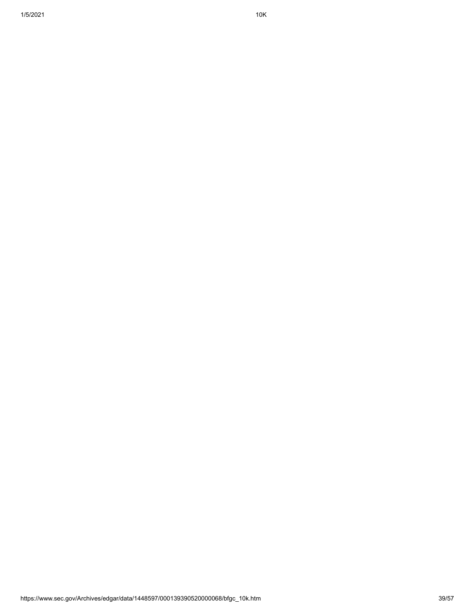https://www.sec.gov/Archives/edgar/data/1448597/000139390520000068/bfgc\_10k.htm 39/57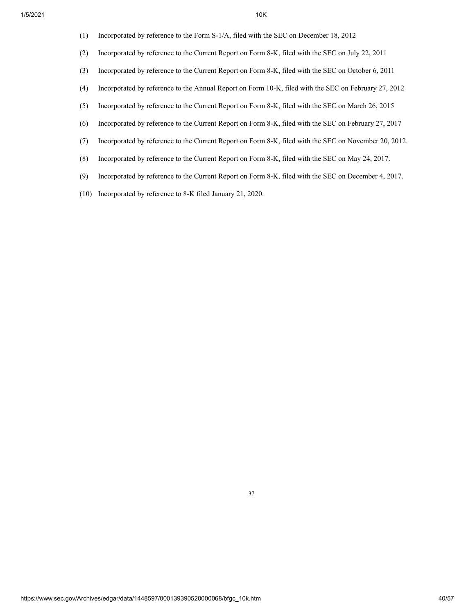- Incorporated by reference to the Form S-1/A, filed with the SEC on December 18, 2012 (1)
- Incorporated by reference to the Current Report on Form 8-K, filed with the SEC on July 22, 2011 (2)
- Incorporated by reference to the Current Report on Form 8-K, filed with the SEC on October 6, 2011 (3)
- Incorporated by reference to the Annual Report on Form 10-K, filed with the SEC on February 27, 2012 (4)
- Incorporated by reference to the Current Report on Form 8-K, filed with the SEC on March 26, 2015 (5)
- Incorporated by reference to the Current Report on Form 8-K, filed with the SEC on February 27, 2017 (6)
- Incorporated by reference to the Current Report on Form 8-K, filed with the SEC on November 20, 2012. (7)
- Incorporated by reference to the Current Report on Form 8-K, filed with the SEC on May 24, 2017. (8)
- Incorporated by reference to the Current Report on Form 8-K, filed with the SEC on December 4, 2017. (9)
- $(10)$  Incorporated by reference to 8-K filed January 21, 2020.

37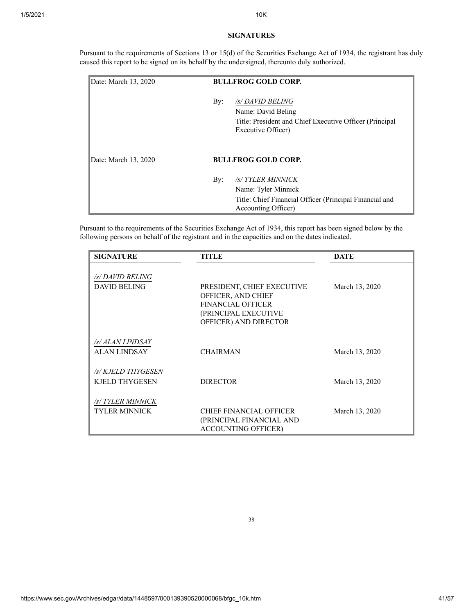### <span id="page-40-0"></span>**SIGNATURES**

Pursuant to the requirements of Sections 13 or 15(d) of the Securities Exchange Act of 1934, the registrant has duly caused this report to be signed on its behalf by the undersigned, thereunto duly authorized.

| Date: March 13, 2020 | <b>BULLFROG GOLD CORP.</b>                                                                                                               |
|----------------------|------------------------------------------------------------------------------------------------------------------------------------------|
|                      | /s/ DAVID BELING<br>$\rm\,By:$<br>Name: David Beling<br>Title: President and Chief Executive Officer (Principal<br>Executive Officer)    |
| Date: March 13, 2020 | <b>BULLFROG GOLD CORP.</b>                                                                                                               |
|                      | /s/ TYLER MINNICK<br>$\rm\,By:$<br>Name: Tyler Minnick<br>Title: Chief Financial Officer (Principal Financial and<br>Accounting Officer) |

Pursuant to the requirements of the Securities Exchange Act of 1934, this report has been signed below by the following persons on behalf of the registrant and in the capacities and on the dates indicated.

| <b>SIGNATURE</b>      | TITLE                                                                                                                         | <b>DATE</b>    |
|-----------------------|-------------------------------------------------------------------------------------------------------------------------------|----------------|
|                       |                                                                                                                               |                |
| /s/ DAVID BELING      |                                                                                                                               |                |
| DAVID BELING          | PRESIDENT, CHIEF EXECUTIVE<br>OFFICER, AND CHIEF<br><b>FINANCIAL OFFICER</b><br>(PRINCIPAL EXECUTIVE<br>OFFICER) AND DIRECTOR | March 13, 2020 |
| /s/ ALAN LINDSAY      |                                                                                                                               |                |
| <b>ALAN LINDSAY</b>   | <b>CHAIRMAN</b>                                                                                                               | March 13, 2020 |
| /s/ KJELD THYGESEN    |                                                                                                                               |                |
| <b>KJELD THYGESEN</b> | <b>DIRECTOR</b>                                                                                                               | March 13, 2020 |
| /s/ TYLER MINNICK     |                                                                                                                               |                |
| <b>TYLER MINNICK</b>  | <b>CHIEF FINANCIAL OFFICER</b><br>(PRINCIPAL FINANCIAL AND<br><b>ACCOUNTING OFFICER)</b>                                      | March 13, 2020 |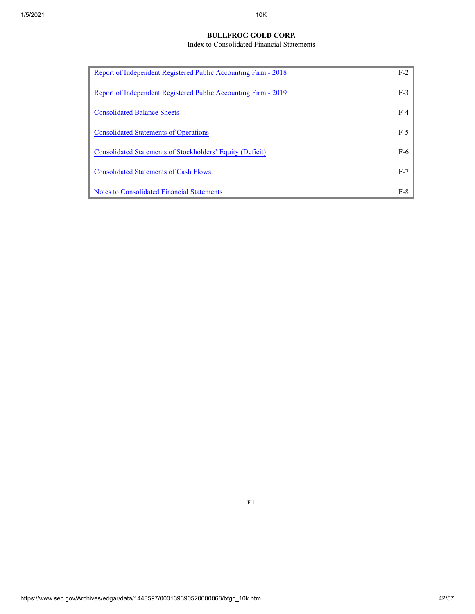# **BULLFROG GOLD CORP.**

Index to Consolidated Financial Statements

| Report of Independent Registered Public Accounting Firm - 2018 | $F-2$ |
|----------------------------------------------------------------|-------|
| Report of Independent Registered Public Accounting Firm - 2019 | $F-3$ |
| <b>Consolidated Balance Sheets</b>                             | $F-4$ |
| <b>Consolidated Statements of Operations</b>                   | $F-5$ |
| Consolidated Statements of Stockholders' Equity (Deficit)      | F-6   |
| <b>Consolidated Statements of Cash Flows</b>                   | $F-7$ |
| Notes to Consolidated Financial Statements                     | $F-8$ |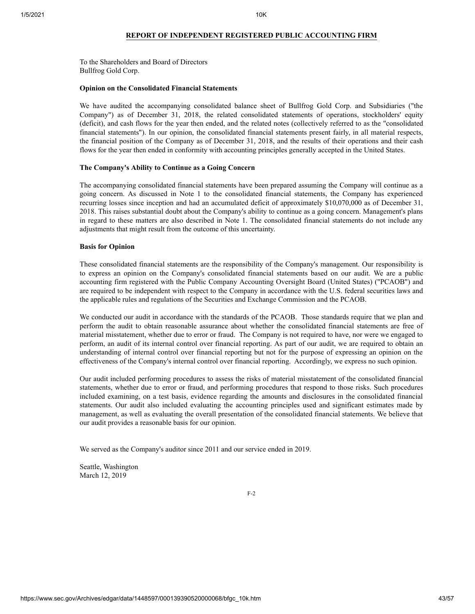# **REPORT OF INDEPENDENT REGISTERED PUBLIC ACCOUNTING FIRM**

<span id="page-42-0"></span>To the Shareholders and Board of Directors Bullfrog Gold Corp.

# **Opinion on the Consolidated Financial Statements**

We have audited the accompanying consolidated balance sheet of Bullfrog Gold Corp. and Subsidiaries ("the Company") as of December 31, 2018, the related consolidated statements of operations, stockholders' equity (deficit), and cash flows for the year then ended, and the related notes (collectively referred to as the "consolidated financial statements"). In our opinion, the consolidated financial statements present fairly, in all material respects, the financial position of the Company as of December 31, 2018, and the results of their operations and their cash flows for the year then ended in conformity with accounting principles generally accepted in the United States.

# **The Company's Ability to Continue as a Going Concern**

The accompanying consolidated financial statements have been prepared assuming the Company will continue as a going concern. As discussed in Note 1 to the consolidated financial statements, the Company has experienced recurring losses since inception and had an accumulated deficit of approximately \$10,070,000 as of December 31, 2018. This raises substantial doubt about the Company's ability to continue as a going concern. Management's plans in regard to these matters are also described in Note 1. The consolidated financial statements do not include any adjustments that might result from the outcome of this uncertainty.

# **Basis for Opinion**

These consolidated financial statements are the responsibility of the Company's management. Our responsibility is to express an opinion on the Company's consolidated financial statements based on our audit. We are a public accounting firm registered with the Public Company Accounting Oversight Board (United States) ("PCAOB") and are required to be independent with respect to the Company in accordance with the U.S. federal securities laws and the applicable rules and regulations of the Securities and Exchange Commission and the PCAOB.

We conducted our audit in accordance with the standards of the PCAOB. Those standards require that we plan and perform the audit to obtain reasonable assurance about whether the consolidated financial statements are free of material misstatement, whether due to error or fraud. The Company is not required to have, nor were we engaged to perform, an audit of its internal control over financial reporting. As part of our audit, we are required to obtain an understanding of internal control over financial reporting but not for the purpose of expressing an opinion on the effectiveness of the Company's internal control over financial reporting. Accordingly, we express no such opinion.

Our audit included performing procedures to assess the risks of material misstatement of the consolidated financial statements, whether due to error or fraud, and performing procedures that respond to those risks. Such procedures included examining, on a test basis, evidence regarding the amounts and disclosures in the consolidated financial statements. Our audit also included evaluating the accounting principles used and significant estimates made by management, as well as evaluating the overall presentation of the consolidated financial statements. We believe that our audit provides a reasonable basis for our opinion.

We served as the Company's auditor since 2011 and our service ended in 2019.

Seattle, Washington March 12, 2019

F-2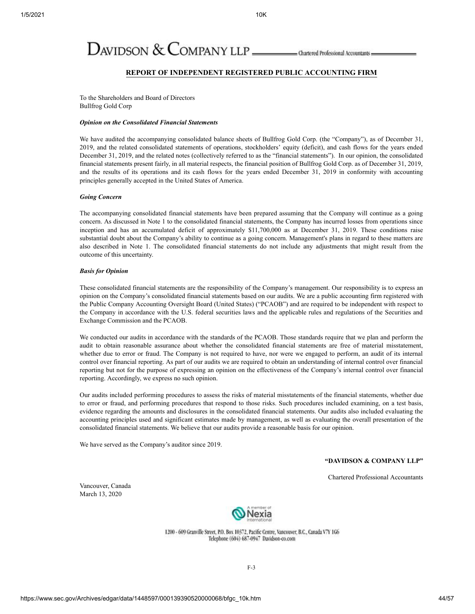# <span id="page-43-0"></span>DAVIDSON & COMPANY LLP

Chartered Professional Accountants

# **REPORT OF INDEPENDENT REGISTERED PUBLIC ACCOUNTING FIRM**

To the Shareholders and Board of Directors Bullfrog Gold Corp

#### *Opinion on the Consolidated Financial Statements*

We have audited the accompanying consolidated balance sheets of Bullfrog Gold Corp. (the "Company"), as of December 31, 2019, and the related consolidated statements of operations, stockholders' equity (deficit), and cash flows for the years ended December 31, 2019, and the related notes (collectively referred to as the "financial statements"). In our opinion, the consolidated financial statements present fairly, in all material respects, the financial position of Bullfrog Gold Corp. as of December 31, 2019, and the results of its operations and its cash flows for the years ended December 31, 2019 in conformity with accounting principles generally accepted in the United States of America.

#### *Going Concern*

The accompanying consolidated financial statements have been prepared assuming that the Company will continue as a going concern. As discussed in Note 1 to the consolidated financial statements, the Company has incurred losses from operations since inception and has an accumulated deficit of approximately \$11,700,000 as at December 31, 2019. These conditions raise substantial doubt about the Company's ability to continue as a going concern. Management's plans in regard to these matters are also described in Note 1. The consolidated financial statements do not include any adjustments that might result from the outcome of this uncertainty.

#### *Basis for Opinion*

These consolidated financial statements are the responsibility of the Company's management. Our responsibility is to express an opinion on the Company's consolidated financial statements based on our audits. We are a public accounting firm registered with the Public Company Accounting Oversight Board (United States) ("PCAOB") and are required to be independent with respect to the Company in accordance with the U.S. federal securities laws and the applicable rules and regulations of the Securities and Exchange Commission and the PCAOB.

We conducted our audits in accordance with the standards of the PCAOB. Those standards require that we plan and perform the audit to obtain reasonable assurance about whether the consolidated financial statements are free of material misstatement, whether due to error or fraud. The Company is not required to have, nor were we engaged to perform, an audit of its internal control over financial reporting. As part of our audits we are required to obtain an understanding of internal control over financial reporting but not for the purpose of expressing an opinion on the effectiveness of the Company's internal control over financial reporting. Accordingly, we express no such opinion.

Our audits included performing procedures to assess the risks of material misstatements of the financial statements, whether due to error or fraud, and performing procedures that respond to those risks. Such procedures included examining, on a test basis, evidence regarding the amounts and disclosures in the consolidated financial statements. Our audits also included evaluating the accounting principles used and significant estimates made by management, as well as evaluating the overall presentation of the consolidated financial statements. We believe that our audits provide a reasonable basis for our opinion.

We have served as the Company's auditor since 2019.

#### **"DAVIDSON & COMPANY LLP"**

Chartered Professional Accountants

Vancouver, Canada March 13, 2020



1200 - 609 Granville Street, P.O. Box 10372, Pacific Centre, Vancouver, B.C., Canada V7Y 1G6 Telephone (604) 687-0947 Davidson-co.com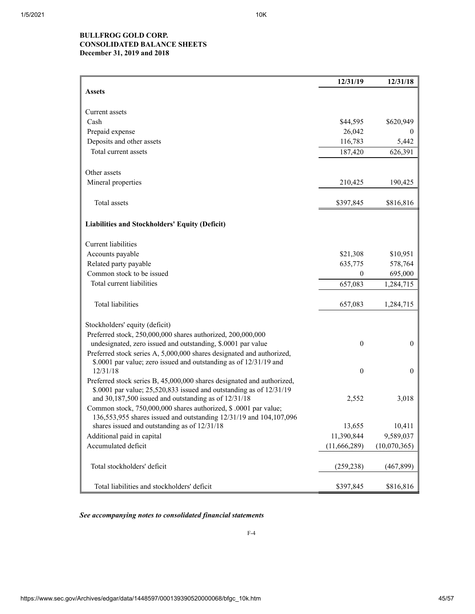# <span id="page-44-0"></span>**BULLFROG GOLD CORP. CONSOLIDATED BALANCE SHEETS December 31, 2019 and 2018**

|                                                                                                                                 | 12/31/19     | 12/31/18         |
|---------------------------------------------------------------------------------------------------------------------------------|--------------|------------------|
| <b>Assets</b>                                                                                                                   |              |                  |
|                                                                                                                                 |              |                  |
| Current assets                                                                                                                  |              |                  |
| Cash                                                                                                                            | \$44,595     | \$620,949        |
| Prepaid expense                                                                                                                 | 26,042       | 0                |
| Deposits and other assets                                                                                                       | 116,783      | 5,442            |
| Total current assets                                                                                                            | 187,420      | 626,391          |
| Other assets                                                                                                                    |              |                  |
| Mineral properties                                                                                                              | 210,425      | 190,425          |
|                                                                                                                                 |              |                  |
| Total assets                                                                                                                    | \$397,845    | \$816,816        |
| <b>Liabilities and Stockholders' Equity (Deficit)</b>                                                                           |              |                  |
| Current liabilities                                                                                                             |              |                  |
| Accounts payable                                                                                                                | \$21,308     | \$10,951         |
| Related party payable                                                                                                           | 635,775      | 578,764          |
| Common stock to be issued                                                                                                       | $\theta$     | 695,000          |
| Total current liabilities                                                                                                       | 657,083      | 1,284,715        |
| Total liabilities                                                                                                               | 657,083      | 1,284,715        |
|                                                                                                                                 |              |                  |
| Stockholders' equity (deficit)                                                                                                  |              |                  |
| Preferred stock, 250,000,000 shares authorized, 200,000,000                                                                     |              |                  |
| undesignated, zero issued and outstanding, \$.0001 par value                                                                    | $\mathbf{0}$ | $\boldsymbol{0}$ |
| Preferred stock series A, 5,000,000 shares designated and authorized,                                                           |              |                  |
| \$.0001 par value; zero issued and outstanding as of 12/31/19 and                                                               |              |                  |
| 12/31/18                                                                                                                        | $\mathbf{0}$ | $\boldsymbol{0}$ |
| Preferred stock series B, 45,000,000 shares designated and authorized,                                                          |              |                  |
| \$.0001 par value; 25,520,833 issued and outstanding as of 12/31/19<br>and $30,187,500$ issued and outstanding as of $12/31/18$ | 2,552        | 3,018            |
| Common stock, 750,000,000 shares authorized, \$ .0001 par value;                                                                |              |                  |
| 136,553,955 shares issued and outstanding 12/31/19 and 104,107,096                                                              |              |                  |
| shares issued and outstanding as of 12/31/18                                                                                    | 13,655       | 10,411           |
| Additional paid in capital                                                                                                      | 11,390,844   | 9,589,037        |
| Accumulated deficit                                                                                                             | (11,666,289) | (10,070,365)     |
|                                                                                                                                 |              |                  |
| Total stockholders' deficit                                                                                                     | (259, 238)   | (467, 899)       |
| Total liabilities and stockholders' deficit                                                                                     | \$397,845    | \$816,816        |

# *See accompanying notes to consolidated financial statements*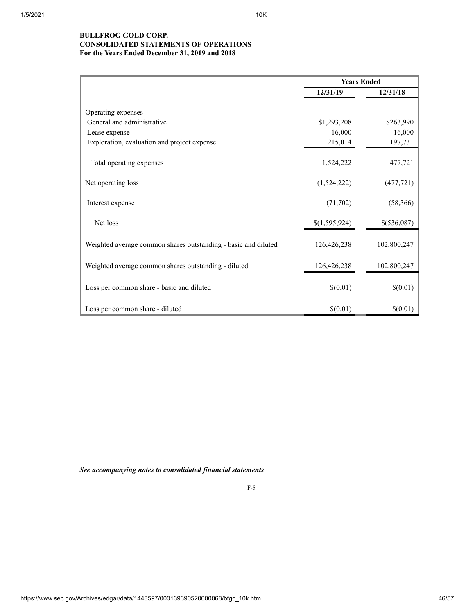# <span id="page-45-0"></span>**BULLFROG GOLD CORP. CONSOLIDATED STATEMENTS OF OPERATIONS For the Years Ended December 31, 2019 and 2018**

|                                                                | <b>Years Ended</b> |             |  |
|----------------------------------------------------------------|--------------------|-------------|--|
|                                                                | 12/31/19           | 12/31/18    |  |
|                                                                |                    |             |  |
| Operating expenses                                             |                    |             |  |
| General and administrative                                     | \$1,293,208        | \$263,990   |  |
| Lease expense                                                  | 16,000             | 16,000      |  |
| Exploration, evaluation and project expense                    | 215,014            | 197,731     |  |
|                                                                |                    |             |  |
| Total operating expenses                                       | 1,524,222          | 477,721     |  |
|                                                                |                    |             |  |
| Net operating loss                                             | (1,524,222)        | (477, 721)  |  |
|                                                                |                    |             |  |
| Interest expense                                               | (71, 702)          | (58, 366)   |  |
|                                                                |                    |             |  |
| Net loss                                                       | \$(1,595,924)      | \$(536,087) |  |
|                                                                |                    |             |  |
| Weighted average common shares outstanding - basic and diluted | 126,426,238        | 102,800,247 |  |
|                                                                |                    |             |  |
| Weighted average common shares outstanding - diluted           | 126,426,238        | 102,800,247 |  |
|                                                                |                    |             |  |
| Loss per common share - basic and diluted                      | \$(0.01)           | \$(0.01)    |  |
|                                                                |                    |             |  |
| Loss per common share - diluted                                | \$(0.01)           | \$(0.01)    |  |
|                                                                |                    |             |  |

*See accompanying notes to consolidated financial statements*

F-5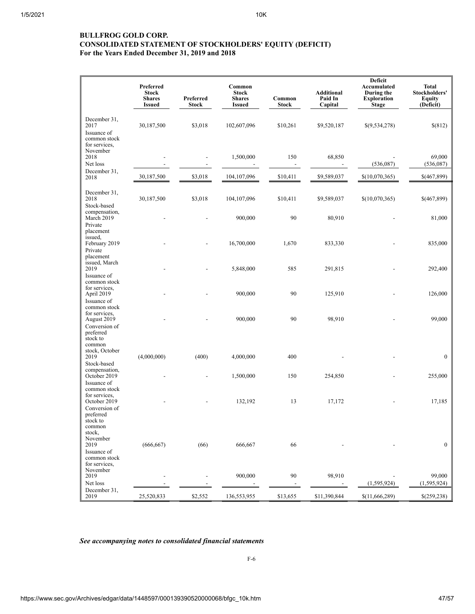# <span id="page-46-0"></span>**BULLFROG GOLD CORP. CONSOLIDATED STATEMENT OF STOCKHOLDERS' EQUITY (DEFICIT) For the Years Ended December 31, 2019 and 2018**

|                                                                      | Preferred<br><b>Stock</b><br><b>Shares</b><br><b>Issued</b> | Preferred<br><b>Stock</b> | Common<br>Stock<br><b>Shares</b><br><b>Issued</b> | Common<br>Stock                | <b>Additional</b><br>Paid In<br>Capital | Deficit<br>Accumulated<br>During the<br><b>Exploration</b><br><b>Stage</b> | <b>Total</b><br>Stockholders'<br><b>Equity</b><br>(Deficit) |
|----------------------------------------------------------------------|-------------------------------------------------------------|---------------------------|---------------------------------------------------|--------------------------------|-----------------------------------------|----------------------------------------------------------------------------|-------------------------------------------------------------|
| December 31,<br>2017<br>Issuance of<br>common stock<br>for services, | 30,187,500                                                  | \$3,018                   | 102,607,096                                       | \$10,261                       | \$9,520,187                             | \$(9,534,278)                                                              | \$(812)                                                     |
| November<br>2018<br>Net loss                                         |                                                             | $\overline{\phantom{a}}$  | 1,500,000                                         | 150<br>$\overline{a}$          | 68,850<br>÷,                            | (536,087)                                                                  | 69,000<br>(536,087)                                         |
| December 31,<br>2018                                                 | 30,187,500                                                  | \$3,018                   | 104,107,096                                       | \$10,411                       | \$9,589,037                             | \$(10,070,365)                                                             | \$(467,899)                                                 |
| December 31,<br>2018<br>Stock-based                                  | 30,187,500                                                  | \$3,018                   | 104,107,096                                       | \$10,411                       | \$9,589,037                             | \$(10,070,365)                                                             | \$(467,899)                                                 |
| compensation,<br>March 2019<br>Private<br>placement                  |                                                             |                           | 900,000                                           | 90                             | 80,910                                  |                                                                            | 81,000                                                      |
| issued,<br>February 2019<br>Private<br>placement                     |                                                             |                           | 16,700,000                                        | 1,670                          | 833,330                                 |                                                                            | 835,000                                                     |
| issued, March<br>2019<br>Issuance of                                 |                                                             |                           | 5,848,000                                         | 585                            | 291,815                                 |                                                                            | 292,400                                                     |
| common stock<br>for services,<br>April 2019                          |                                                             |                           | 900,000                                           | 90                             | 125,910                                 |                                                                            | 126,000                                                     |
| Issuance of<br>common stock<br>for services,<br>August 2019          |                                                             |                           | 900,000                                           | 90                             | 98,910                                  |                                                                            | 99,000                                                      |
| Conversion of<br>preferred<br>stock to<br>common                     |                                                             |                           |                                                   |                                |                                         |                                                                            |                                                             |
| stock, October<br>2019<br>Stock-based                                | (4,000,000)                                                 | (400)                     | 4,000,000                                         | 400                            |                                         |                                                                            | $\boldsymbol{0}$                                            |
| compensation,<br>October 2019                                        |                                                             |                           | 1,500,000                                         | 150                            | 254,850                                 |                                                                            | 255,000                                                     |
| Issuance of<br>common stock<br>for services,<br>October 2019         |                                                             |                           | 132,192                                           | 13                             | 17,172                                  |                                                                            | 17,185                                                      |
| Conversion of<br>preferred<br>stock to                               |                                                             |                           |                                                   |                                |                                         |                                                                            |                                                             |
| common<br>stock,<br>November<br>2019                                 | (666, 667)                                                  | (66)                      | 666,667                                           | 66                             |                                         |                                                                            | $\boldsymbol{0}$                                            |
| Issuance of<br>common stock<br>for services,<br>November             |                                                             |                           |                                                   |                                |                                         |                                                                            |                                                             |
| 2019<br>Net loss                                                     |                                                             |                           | 900,000<br>-                                      | 90<br>$\overline{\phantom{a}}$ | 98,910<br>$\overline{a}$                | (1,595,924)                                                                | 99,000<br>(1, 595, 924)                                     |
| December 31,<br>2019                                                 | 25,520,833                                                  | \$2,552                   | 136,553,955                                       | \$13,655                       | \$11,390,844                            | \$(11,666,289)                                                             | \$(259,238)                                                 |

# *See accompanying notes to consolidated financial statements*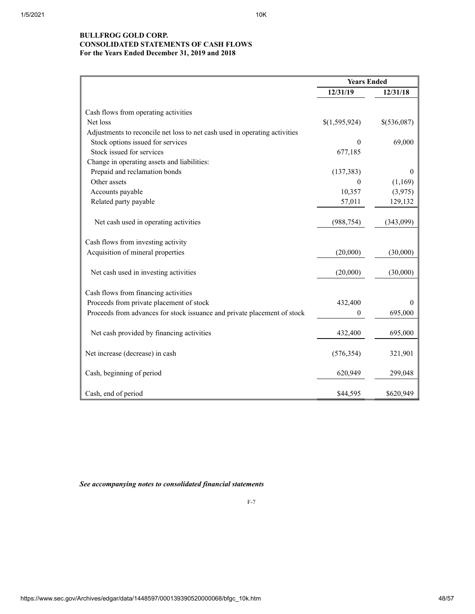# <span id="page-47-0"></span>**BULLFROG GOLD CORP. CONSOLIDATED STATEMENTS OF CASH FLOWS For the Years Ended December 31, 2019 and 2018**

|                                                                            | <b>Years Ended</b> |             |
|----------------------------------------------------------------------------|--------------------|-------------|
|                                                                            | 12/31/19           | 12/31/18    |
|                                                                            |                    |             |
| Cash flows from operating activities                                       |                    |             |
| Net loss                                                                   | \$(1,595,924)      | \$(536,087) |
| Adjustments to reconcile net loss to net cash used in operating activities |                    |             |
| Stock options issued for services                                          | $\theta$           | 69,000      |
| Stock issued for services                                                  | 677,185            |             |
| Change in operating assets and liabilities:                                |                    |             |
| Prepaid and reclamation bonds                                              | (137, 383)         | $\theta$    |
| Other assets                                                               | $\theta$           | (1,169)     |
| Accounts payable                                                           | 10,357             | (3,975)     |
| Related party payable                                                      | 57,011             | 129,132     |
| Net cash used in operating activities                                      | (988, 754)         | (343,099)   |
|                                                                            |                    |             |
| Cash flows from investing activity                                         |                    |             |
| Acquisition of mineral properties                                          | (20,000)           | (30,000)    |
| Net cash used in investing activities                                      | (20,000)           | (30,000)    |
| Cash flows from financing activities                                       |                    |             |
| Proceeds from private placement of stock                                   | 432,400            | $\theta$    |
| Proceeds from advances for stock issuance and private placement of stock   | 0                  | 695,000     |
|                                                                            |                    |             |
| Net cash provided by financing activities                                  | 432,400            | 695,000     |
| Net increase (decrease) in cash                                            | (576, 354)         | 321,901     |
|                                                                            |                    |             |
| Cash, beginning of period                                                  | 620,949            | 299,048     |
| Cash, end of period                                                        | \$44,595           | \$620,949   |

*See accompanying notes to consolidated financial statements*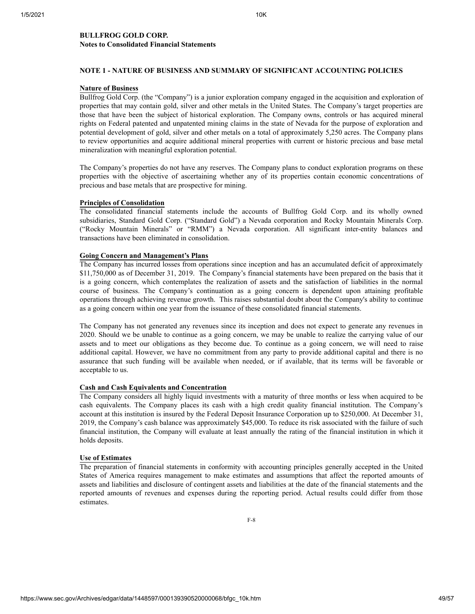# <span id="page-48-0"></span>**NOTE 1 - NATURE OF BUSINESS AND SUMMARY OF SIGNIFICANT ACCOUNTING POLICIES**

### **Nature of Business**

Bullfrog Gold Corp. (the "Company") is a junior exploration company engaged in the acquisition and exploration of properties that may contain gold, silver and other metals in the United States. The Company's target properties are those that have been the subject of historical exploration. The Company owns, controls or has acquired mineral rights on Federal patented and unpatented mining claims in the state of Nevada for the purpose of exploration and potential development of gold, silver and other metals on a total of approximately 5,250 acres. The Company plans to review opportunities and acquire additional mineral properties with current or historic precious and base metal mineralization with meaningful exploration potential.

The Company's properties do not have any reserves. The Company plans to conduct exploration programs on these properties with the objective of ascertaining whether any of its properties contain economic concentrations of precious and base metals that are prospective for mining.

#### **Principles of Consolidation**

The consolidated financial statements include the accounts of Bullfrog Gold Corp. and its wholly owned subsidiaries, Standard Gold Corp. ("Standard Gold") a Nevada corporation and Rocky Mountain Minerals Corp. ("Rocky Mountain Minerals" or "RMM") a Nevada corporation. All significant inter-entity balances and transactions have been eliminated in consolidation.

# **Going Concern and Management's Plans**

The Company has incurred losses from operations since inception and has an accumulated deficit of approximately \$11,750,000 as of December 31, 2019. The Company's financial statements have been prepared on the basis that it is a going concern, which contemplates the realization of assets and the satisfaction of liabilities in the normal course of business. The Company's continuation as a going concern is dependent upon attaining profitable operations through achieving revenue growth. This raises substantial doubt about the Company's ability to continue as a going concern within one year from the issuance of these consolidated financial statements.

The Company has not generated any revenues since its inception and does not expect to generate any revenues in 2020. Should we be unable to continue as a going concern, we may be unable to realize the carrying value of our assets and to meet our obligations as they become due. To continue as a going concern, we will need to raise additional capital. However, we have no commitment from any party to provide additional capital and there is no assurance that such funding will be available when needed, or if available, that its terms will be favorable or acceptable to us.

#### **Cash and Cash Equivalents and Concentration**

The Company considers all highly liquid investments with a maturity of three months or less when acquired to be cash equivalents. The Company places its cash with a high credit quality financial institution. The Company's account at this institution is insured by the Federal Deposit Insurance Corporation up to \$250,000. At December 31, 2019, the Company's cash balance was approximately \$45,000. To reduce its risk associated with the failure of such financial institution, the Company will evaluate at least annually the rating of the financial institution in which it holds deposits.

#### **Use of Estimates**

The preparation of financial statements in conformity with accounting principles generally accepted in the United States of America requires management to make estimates and assumptions that affect the reported amounts of assets and liabilities and disclosure of contingent assets and liabilities at the date of the financial statements and the reported amounts of revenues and expenses during the reporting period. Actual results could differ from those estimates.

F-8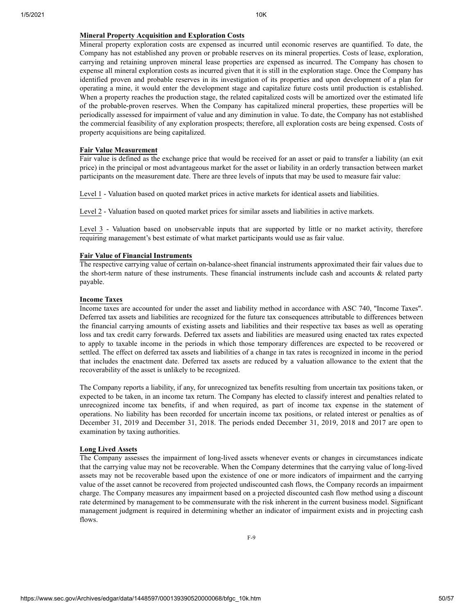#### **Mineral Property Acquisition and Exploration Costs**

Mineral property exploration costs are expensed as incurred until economic reserves are quantified. To date, the Company has not established any proven or probable reserves on its mineral properties. Costs of lease, exploration, carrying and retaining unproven mineral lease properties are expensed as incurred. The Company has chosen to expense all mineral exploration costs as incurred given that it is still in the exploration stage. Once the Company has identified proven and probable reserves in its investigation of its properties and upon development of a plan for operating a mine, it would enter the development stage and capitalize future costs until production is established. When a property reaches the production stage, the related capitalized costs will be amortized over the estimated life of the probable-proven reserves. When the Company has capitalized mineral properties, these properties will be periodically assessed for impairment of value and any diminution in value. To date, the Company has not established the commercial feasibility of any exploration prospects; therefore, all exploration costs are being expensed. Costs of property acquisitions are being capitalized.

#### **Fair Value Measurement**

Fair value is defined as the exchange price that would be received for an asset or paid to transfer a liability (an exit price) in the principal or most advantageous market for the asset or liability in an orderly transaction between market participants on the measurement date. There are three levels of inputs that may be used to measure fair value:

Level 1 - Valuation based on quoted market prices in active markets for identical assets and liabilities.

Level 2 - Valuation based on quoted market prices for similar assets and liabilities in active markets.

Level 3 - Valuation based on unobservable inputs that are supported by little or no market activity, therefore requiring management's best estimate of what market participants would use as fair value.

# **Fair Value of Financial Instruments**

The respective carrying value of certain on-balance-sheet financial instruments approximated their fair values due to the short-term nature of these instruments. These financial instruments include cash and accounts & related party payable.

### **Income Taxes**

Income taxes are accounted for under the asset and liability method in accordance with ASC 740, "Income Taxes". Deferred tax assets and liabilities are recognized for the future tax consequences attributable to differences between the financial carrying amounts of existing assets and liabilities and their respective tax bases as well as operating loss and tax credit carry forwards. Deferred tax assets and liabilities are measured using enacted tax rates expected to apply to taxable income in the periods in which those temporary differences are expected to be recovered or settled. The effect on deferred tax assets and liabilities of a change in tax rates is recognized in income in the period that includes the enactment date. Deferred tax assets are reduced by a valuation allowance to the extent that the recoverability of the asset is unlikely to be recognized.

The Company reports a liability, if any, for unrecognized tax benefits resulting from uncertain tax positions taken, or expected to be taken, in an income tax return. The Company has elected to classify interest and penalties related to unrecognized income tax benefits, if and when required, as part of income tax expense in the statement of operations. No liability has been recorded for uncertain income tax positions, or related interest or penalties as of December 31, 2019 and December 31, 2018. The periods ended December 31, 2019, 2018 and 2017 are open to examination by taxing authorities.

#### **Long Lived Assets**

The Company assesses the impairment of long-lived assets whenever events or changes in circumstances indicate that the carrying value may not be recoverable. When the Company determines that the carrying value of long-lived assets may not be recoverable based upon the existence of one or more indicators of impairment and the carrying value of the asset cannot be recovered from projected undiscounted cash flows, the Company records an impairment charge. The Company measures any impairment based on a projected discounted cash flow method using a discount rate determined by management to be commensurate with the risk inherent in the current business model. Significant management judgment is required in determining whether an indicator of impairment exists and in projecting cash flows.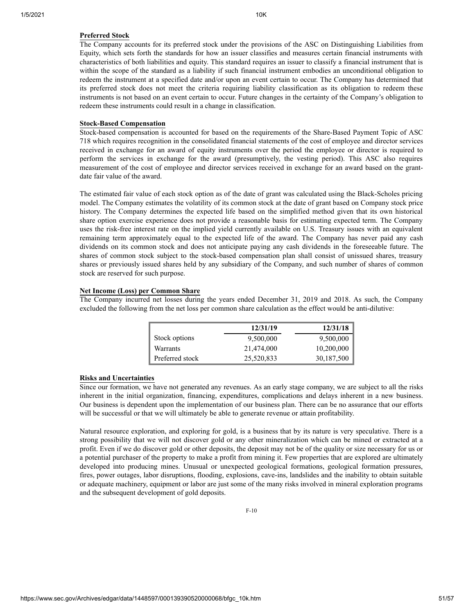#### **Preferred Stock**

The Company accounts for its preferred stock under the provisions of the ASC on Distinguishing Liabilities from Equity, which sets forth the standards for how an issuer classifies and measures certain financial instruments with characteristics of both liabilities and equity. This standard requires an issuer to classify a financial instrument that is within the scope of the standard as a liability if such financial instrument embodies an unconditional obligation to redeem the instrument at a specified date and/or upon an event certain to occur. The Company has determined that its preferred stock does not meet the criteria requiring liability classification as its obligation to redeem these instruments is not based on an event certain to occur. Future changes in the certainty of the Company's obligation to redeem these instruments could result in a change in classification.

#### **Stock-Based Compensation**

Stock-based compensation is accounted for based on the requirements of the Share-Based Payment Topic of ASC 718 which requires recognition in the consolidated financial statements of the cost of employee and director services received in exchange for an award of equity instruments over the period the employee or director is required to perform the services in exchange for the award (presumptively, the vesting period). This ASC also requires measurement of the cost of employee and director services received in exchange for an award based on the grantdate fair value of the award.

The estimated fair value of each stock option as of the date of grant was calculated using the Black-Scholes pricing model. The Company estimates the volatility of its common stock at the date of grant based on Company stock price history. The Company determines the expected life based on the simplified method given that its own historical share option exercise experience does not provide a reasonable basis for estimating expected term. The Company uses the risk-free interest rate on the implied yield currently available on U.S. Treasury issues with an equivalent remaining term approximately equal to the expected life of the award. The Company has never paid any cash dividends on its common stock and does not anticipate paying any cash dividends in the foreseeable future. The shares of common stock subject to the stock-based compensation plan shall consist of unissued shares, treasury shares or previously issued shares held by any subsidiary of the Company, and such number of shares of common stock are reserved for such purpose.

### **Net Income (Loss) per Common Share**

The Company incurred net losses during the years ended December 31, 2019 and 2018. As such, the Company excluded the following from the net loss per common share calculation as the effect would be anti-dilutive:

|                 | 12/31/19   | 12/31/18   |
|-----------------|------------|------------|
| Stock options   | 9,500,000  | 9,500,000  |
| <b>Warrants</b> | 21,474,000 | 10,200,000 |
| Preferred stock | 25,520,833 | 30,187,500 |

#### **Risks and Uncertainties**

Since our formation, we have not generated any revenues. As an early stage company, we are subject to all the risks inherent in the initial organization, financing, expenditures, complications and delays inherent in a new business. Our business is dependent upon the implementation of our business plan. There can be no assurance that our efforts will be successful or that we will ultimately be able to generate revenue or attain profitability.

Natural resource exploration, and exploring for gold, is a business that by its nature is very speculative. There is a strong possibility that we will not discover gold or any other mineralization which can be mined or extracted at a profit. Even if we do discover gold or other deposits, the deposit may not be of the quality or size necessary for us or a potential purchaser of the property to make a profit from mining it. Few properties that are explored are ultimately developed into producing mines. Unusual or unexpected geological formations, geological formation pressures, fires, power outages, labor disruptions, flooding, explosions, cave-ins, landslides and the inability to obtain suitable or adequate machinery, equipment or labor are just some of the many risks involved in mineral exploration programs and the subsequent development of gold deposits.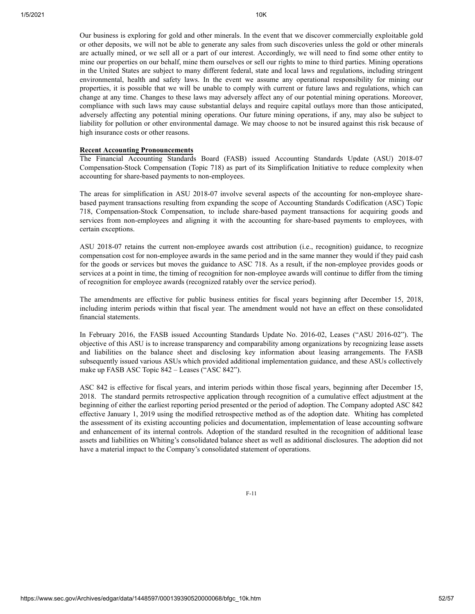Our business is exploring for gold and other minerals. In the event that we discover commercially exploitable gold or other deposits, we will not be able to generate any sales from such discoveries unless the gold or other minerals are actually mined, or we sell all or a part of our interest. Accordingly, we will need to find some other entity to mine our properties on our behalf, mine them ourselves or sell our rights to mine to third parties. Mining operations in the United States are subject to many different federal, state and local laws and regulations, including stringent environmental, health and safety laws. In the event we assume any operational responsibility for mining our properties, it is possible that we will be unable to comply with current or future laws and regulations, which can change at any time. Changes to these laws may adversely affect any of our potential mining operations. Moreover, compliance with such laws may cause substantial delays and require capital outlays more than those anticipated, adversely affecting any potential mining operations. Our future mining operations, if any, may also be subject to liability for pollution or other environmental damage. We may choose to not be insured against this risk because of high insurance costs or other reasons.

#### **Recent Accounting Pronouncements**

The Financial Accounting Standards Board (FASB) issued Accounting Standards Update (ASU) 2018-07 Compensation-Stock Compensation (Topic 718) as part of its Simplification Initiative to reduce complexity when accounting for share-based payments to non-employees.

The areas for simplification in ASU 2018-07 involve several aspects of the accounting for non-employee sharebased payment transactions resulting from expanding the scope of Accounting Standards Codification (ASC) Topic 718, Compensation-Stock Compensation, to include share-based payment transactions for acquiring goods and services from non-employees and aligning it with the accounting for share-based payments to employees, with certain exceptions.

ASU 2018-07 retains the current non-employee awards cost attribution (i.e., recognition) guidance, to recognize compensation cost for non-employee awards in the same period and in the same manner they would if they paid cash for the goods or services but moves the guidance to ASC 718. As a result, if the non-employee provides goods or services at a point in time, the timing of recognition for non-employee awards will continue to differ from the timing of recognition for employee awards (recognized ratably over the service period).

The amendments are effective for public business entities for fiscal years beginning after December 15, 2018, including interim periods within that fiscal year. The amendment would not have an effect on these consolidated financial statements.

In February 2016, the FASB issued Accounting Standards Update No. 2016-02, Leases ("ASU 2016-02"). The objective of this ASU is to increase transparency and comparability among organizations by recognizing lease assets and liabilities on the balance sheet and disclosing key information about leasing arrangements. The FASB subsequently issued various ASUs which provided additional implementation guidance, and these ASUs collectively make up FASB ASC Topic 842 – Leases ("ASC 842").

ASC 842 is effective for fiscal years, and interim periods within those fiscal years, beginning after December 15, 2018. The standard permits retrospective application through recognition of a cumulative effect adjustment at the beginning of either the earliest reporting period presented or the period of adoption. The Company adopted ASC 842 effective January 1, 2019 using the modified retrospective method as of the adoption date. Whiting has completed the assessment of its existing accounting policies and documentation, implementation of lease accounting software and enhancement of its internal controls. Adoption of the standard resulted in the recognition of additional lease assets and liabilities on Whiting's consolidated balance sheet as well as additional disclosures. The adoption did not have a material impact to the Company's consolidated statement of operations.

F-11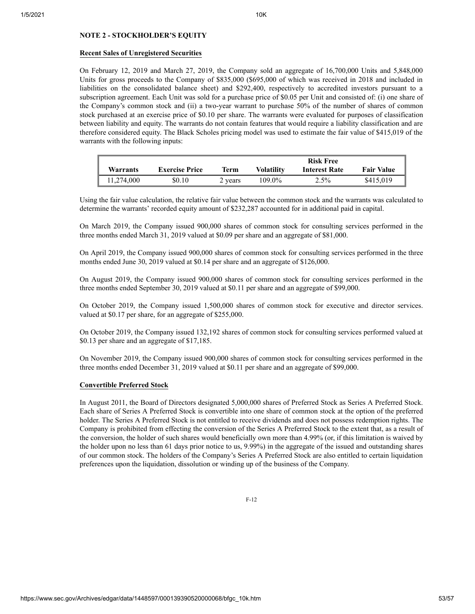# **NOTE 2 - STOCKHOLDER'S EQUITY**

#### **Recent Sales of Unregistered Securities**

On February 12, 2019 and March 27, 2019, the Company sold an aggregate of 16,700,000 Units and 5,848,000 Units for gross proceeds to the Company of \$835,000 (\$695,000 of which was received in 2018 and included in liabilities on the consolidated balance sheet) and \$292,400, respectively to accredited investors pursuant to a subscription agreement. Each Unit was sold for a purchase price of \$0.05 per Unit and consisted of: (i) one share of the Company's common stock and (ii) a two-year warrant to purchase 50% of the number of shares of common stock purchased at an exercise price of \$0.10 per share. The warrants were evaluated for purposes of classification between liability and equity. The warrants do not contain features that would require a liability classification and are therefore considered equity. The Black Scholes pricing model was used to estimate the fair value of \$415,019 of the warrants with the following inputs:

|            |                       |         |            | <b>Risk Free</b>     |                   |
|------------|-----------------------|---------|------------|----------------------|-------------------|
| Warrants   | <b>Exercise Price</b> | Term    | Volatilitv | <b>Interest Rate</b> | <b>Fair Value</b> |
| 11.274.000 | SO.10                 | 2 vears | 109.0%     | 2.5%                 | \$415,019         |

Using the fair value calculation, the relative fair value between the common stock and the warrants was calculated to determine the warrants' recorded equity amount of \$232,287 accounted for in additional paid in capital.

On March 2019, the Company issued 900,000 shares of common stock for consulting services performed in the three months ended March 31, 2019 valued at \$0.09 per share and an aggregate of \$81,000.

On April 2019, the Company issued 900,000 shares of common stock for consulting services performed in the three months ended June 30, 2019 valued at \$0.14 per share and an aggregate of \$126,000.

On August 2019, the Company issued 900,000 shares of common stock for consulting services performed in the three months ended September 30, 2019 valued at \$0.11 per share and an aggregate of \$99,000.

On October 2019, the Company issued 1,500,000 shares of common stock for executive and director services. valued at \$0.17 per share, for an aggregate of \$255,000.

On October 2019, the Company issued 132,192 shares of common stock for consulting services performed valued at \$0.13 per share and an aggregate of \$17,185.

On November 2019, the Company issued 900,000 shares of common stock for consulting services performed in the three months ended December 31, 2019 valued at \$0.11 per share and an aggregate of \$99,000.

#### **Convertible Preferred Stock**

In August 2011, the Board of Directors designated 5,000,000 shares of Preferred Stock as Series A Preferred Stock. Each share of Series A Preferred Stock is convertible into one share of common stock at the option of the preferred holder. The Series A Preferred Stock is not entitled to receive dividends and does not possess redemption rights. The Company is prohibited from effecting the conversion of the Series A Preferred Stock to the extent that, as a result of the conversion, the holder of such shares would beneficially own more than 4.99% (or, if this limitation is waived by the holder upon no less than 61 days prior notice to us, 9.99%) in the aggregate of the issued and outstanding shares of our common stock. The holders of the Company's Series A Preferred Stock are also entitled to certain liquidation preferences upon the liquidation, dissolution or winding up of the business of the Company.

F-12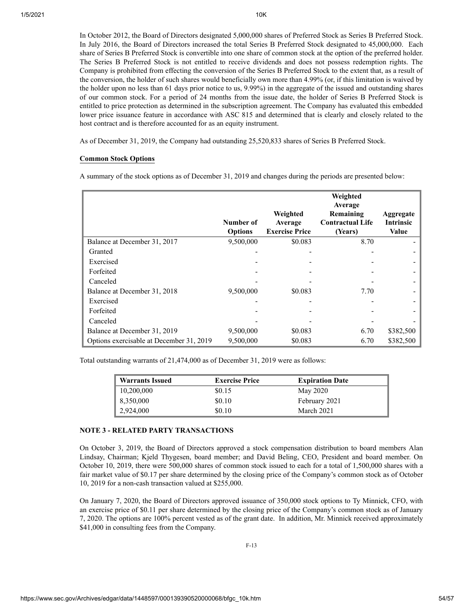In October 2012, the Board of Directors designated 5,000,000 shares of Preferred Stock as Series B Preferred Stock. In July 2016, the Board of Directors increased the total Series B Preferred Stock designated to 45,000,000. Each share of Series B Preferred Stock is convertible into one share of common stock at the option of the preferred holder. The Series B Preferred Stock is not entitled to receive dividends and does not possess redemption rights. The Company is prohibited from effecting the conversion of the Series B Preferred Stock to the extent that, as a result of the conversion, the holder of such shares would beneficially own more than 4.99% (or, if this limitation is waived by the holder upon no less than 61 days prior notice to us, 9.99%) in the aggregate of the issued and outstanding shares of our common stock. For a period of 24 months from the issue date, the holder of Series B Preferred Stock is entitled to price protection as determined in the subscription agreement. The Company has evaluated this embedded lower price issuance feature in accordance with ASC 815 and determined that is clearly and closely related to the host contract and is therefore accounted for as an equity instrument.

As of December 31, 2019, the Company had outstanding 25,520,833 shares of Series B Preferred Stock.

# **Common Stock Options**

A summary of the stock options as of December 31, 2019 and changes during the periods are presented below:

|                                          |                             |                                              | Weighted<br>Average                             |                                        |
|------------------------------------------|-----------------------------|----------------------------------------------|-------------------------------------------------|----------------------------------------|
|                                          | Number of<br><b>Options</b> | Weighted<br>Average<br><b>Exercise Price</b> | Remaining<br><b>Contractual Life</b><br>(Years) | Aggregate<br><b>Intrinsic</b><br>Value |
| Balance at December 31, 2017             | 9,500,000                   | \$0.083                                      | 8.70                                            |                                        |
| Granted                                  |                             |                                              |                                                 |                                        |
| Exercised                                |                             |                                              |                                                 |                                        |
| Forfeited                                |                             |                                              |                                                 |                                        |
| Canceled                                 |                             |                                              |                                                 |                                        |
| Balance at December 31, 2018             | 9,500,000                   | \$0.083                                      | 7.70                                            |                                        |
| Exercised                                |                             |                                              |                                                 |                                        |
| Forfeited                                |                             |                                              |                                                 |                                        |
| Canceled                                 |                             |                                              |                                                 |                                        |
| Balance at December 31, 2019             | 9,500,000                   | \$0.083                                      | 6.70                                            | \$382,500                              |
| Options exercisable at December 31, 2019 | 9,500,000                   | \$0.083                                      | 6.70                                            | \$382,500                              |

Total outstanding warrants of 21,474,000 as of December 31, 2019 were as follows:

| <b>Warrants Issued</b> | <b>Exercise Price</b> | <b>Expiration Date</b> |
|------------------------|-----------------------|------------------------|
| 10,200,000             | \$0.15                | May 2020               |
| 8,350,000              | \$0.10                | February 2021          |
| 2,924,000              | \$0.10                | March 2021             |

# **NOTE 3 - RELATED PARTY TRANSACTIONS**

On October 3, 2019, the Board of Directors approved a stock compensation distribution to board members Alan Lindsay, Chairman; Kjeld Thygesen, board member; and David Beling, CEO, President and board member. On October 10, 2019, there were 500,000 shares of common stock issued to each for a total of 1,500,000 shares with a fair market value of \$0.17 per share determined by the closing price of the Company's common stock as of October 10, 2019 for a non-cash transaction valued at \$255,000.

On January 7, 2020, the Board of Directors approved issuance of 350,000 stock options to Ty Minnick, CFO, with an exercise price of \$0.11 per share determined by the closing price of the Company's common stock as of January 7, 2020. The options are 100% percent vested as of the grant date. In addition, Mr. Minnick received approximately \$41,000 in consulting fees from the Company.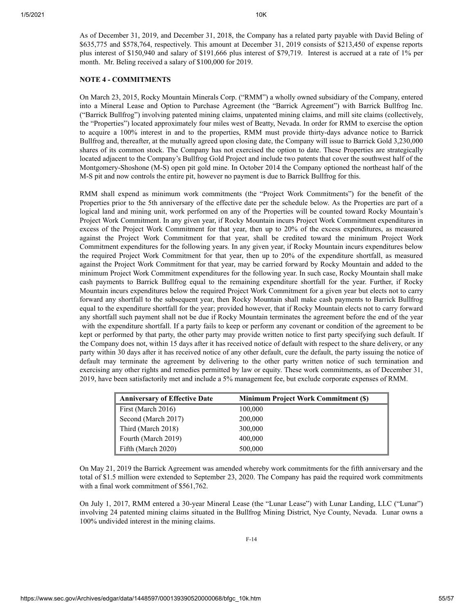As of December 31, 2019, and December 31, 2018, the Company has a related party payable with David Beling of \$635,775 and \$578,764, respectively. This amount at December 31, 2019 consists of \$213,450 of expense reports plus interest of \$150,940 and salary of \$191,666 plus interest of \$79,719. Interest is accrued at a rate of 1% per month. Mr. Beling received a salary of \$100,000 for 2019.

# **NOTE 4 - COMMITMENTS**

On March 23, 2015, Rocky Mountain Minerals Corp. ("RMM") a wholly owned subsidiary of the Company, entered into a Mineral Lease and Option to Purchase Agreement (the "Barrick Agreement") with Barrick Bullfrog Inc. ("Barrick Bullfrog") involving patented mining claims, unpatented mining claims, and mill site claims (collectively, the "Properties") located approximately four miles west of Beatty, Nevada. In order for RMM to exercise the option to acquire a 100% interest in and to the properties, RMM must provide thirty-days advance notice to Barrick Bullfrog and, thereafter, at the mutually agreed upon closing date, the Company will issue to Barrick Gold 3,230,000 shares of its common stock. The Company has not exercised the option to date. These Properties are strategically located adjacent to the Company's Bullfrog Gold Project and include two patents that cover the southwest half of the Montgomery-Shoshone (M-S) open pit gold mine. In October 2014 the Company optioned the northeast half of the M-S pit and now controls the entire pit, however no payment is due to Barrick Bullfrog for this.

RMM shall expend as minimum work commitments (the "Project Work Commitments") for the benefit of the Properties prior to the 5th anniversary of the effective date per the schedule below. As the Properties are part of a logical land and mining unit, work performed on any of the Properties will be counted toward Rocky Mountain's Project Work Commitment. In any given year, if Rocky Mountain incurs Project Work Commitment expenditures in excess of the Project Work Commitment for that year, then up to 20% of the excess expenditures, as measured against the Project Work Commitment for that year, shall be credited toward the minimum Project Work Commitment expenditures for the following years. In any given year, if Rocky Mountain incurs expenditures below the required Project Work Commitment for that year, then up to 20% of the expenditure shortfall, as measured against the Project Work Commitment for that year, may be carried forward by Rocky Mountain and added to the minimum Project Work Commitment expenditures for the following year. In such case, Rocky Mountain shall make cash payments to Barrick Bullfrog equal to the remaining expenditure shortfall for the year. Further, if Rocky Mountain incurs expenditures below the required Project Work Commitment for a given year but elects not to carry forward any shortfall to the subsequent year, then Rocky Mountain shall make cash payments to Barrick Bullfrog equal to the expenditure shortfall for the year; provided however, that if Rocky Mountain elects not to carry forward any shortfall such payment shall not be due if Rocky Mountain terminates the agreement before the end of the year with the expenditure shortfall. If a party fails to keep or perform any covenant or condition of the agreement to be kept or performed by that party, the other party may provide written notice to first party specifying such default. If the Company does not, within 15 days after it has received notice of default with respect to the share delivery, or any party within 30 days after it has received notice of any other default, cure the default, the party issuing the notice of default may terminate the agreement by delivering to the other party written notice of such termination and exercising any other rights and remedies permitted by law or equity. These work commitments, as of December 31, 2019, have been satisfactorily met and include a 5% management fee, but exclude corporate expenses of RMM.

| <b>Anniversary of Effective Date</b> | <b>Minimum Project Work Commitment (\$)</b> |
|--------------------------------------|---------------------------------------------|
| First (March 2016)                   | 100,000                                     |
| Second (March 2017)                  | 200,000                                     |
| Third (March 2018)                   | 300,000                                     |
| Fourth (March 2019)                  | 400,000                                     |
| Fifth (March 2020)                   | 500,000                                     |

On May 21, 2019 the Barrick Agreement was amended whereby work commitments for the fifth anniversary and the total of \$1.5 million were extended to September 23, 2020. The Company has paid the required work commitments with a final work commitment of \$561,762.

On July 1, 2017, RMM entered a 30-year Mineral Lease (the "Lunar Lease") with Lunar Landing, LLC ("Lunar") involving 24 patented mining claims situated in the Bullfrog Mining District, Nye County, Nevada. Lunar owns a 100% undivided interest in the mining claims.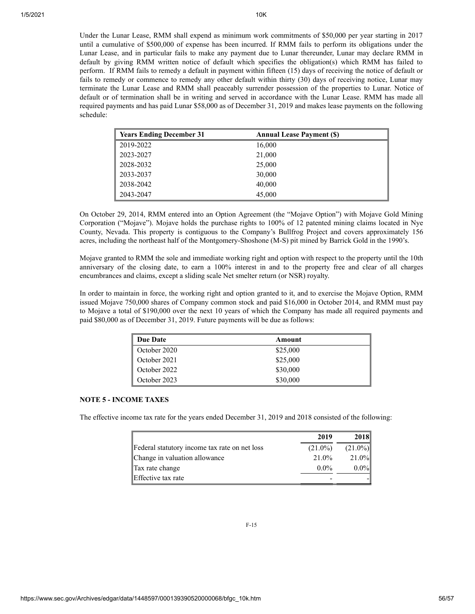Under the Lunar Lease, RMM shall expend as minimum work commitments of \$50,000 per year starting in 2017 until a cumulative of \$500,000 of expense has been incurred. If RMM fails to perform its obligations under the Lunar Lease, and in particular fails to make any payment due to Lunar thereunder, Lunar may declare RMM in default by giving RMM written notice of default which specifies the obligation(s) which RMM has failed to perform. If RMM fails to remedy a default in payment within fifteen (15) days of receiving the notice of default or fails to remedy or commence to remedy any other default within thirty (30) days of receiving notice, Lunar may terminate the Lunar Lease and RMM shall peaceably surrender possession of the properties to Lunar. Notice of default or of termination shall be in writing and served in accordance with the Lunar Lease. RMM has made all required payments and has paid Lunar \$58,000 as of December 31, 2019 and makes lease payments on the following schedule:

| <b>Years Ending December 31</b> | <b>Annual Lease Payment (\$)</b> |
|---------------------------------|----------------------------------|
| 2019-2022                       | 16,000                           |
| 2023-2027                       | 21,000                           |
| 2028-2032                       | 25,000                           |
| 2033-2037                       | 30,000                           |
| 2038-2042                       | 40,000                           |
| 2043-2047                       | 45,000                           |

On October 29, 2014, RMM entered into an Option Agreement (the "Mojave Option") with Mojave Gold Mining Corporation ("Mojave"). Mojave holds the purchase rights to 100% of 12 patented mining claims located in Nye County, Nevada. This property is contiguous to the Company's Bullfrog Project and covers approximately 156 acres, including the northeast half of the Montgomery-Shoshone (M-S) pit mined by Barrick Gold in the 1990's.

Mojave granted to RMM the sole and immediate working right and option with respect to the property until the 10th anniversary of the closing date, to earn a 100% interest in and to the property free and clear of all charges encumbrances and claims, except a sliding scale Net smelter return (or NSR) royalty.

In order to maintain in force, the working right and option granted to it, and to exercise the Mojave Option, RMM issued Mojave 750,000 shares of Company common stock and paid \$16,000 in October 2014, and RMM must pay to Mojave a total of \$190,000 over the next 10 years of which the Company has made all required payments and paid \$80,000 as of December 31, 2019. Future payments will be due as follows:

| <b>Due Date</b> | Amount   |
|-----------------|----------|
| October 2020    | \$25,000 |
| October 2021    | \$25,000 |
| October 2022    | \$30,000 |
| October 2023    | \$30,000 |

#### **NOTE 5 - INCOME TAXES**

The effective income tax rate for the years ended December 31, 2019 and 2018 consisted of the following:

|                                               | 2019       | 2018       |
|-----------------------------------------------|------------|------------|
| Federal statutory income tax rate on net loss | $(21.0\%)$ | $(21.0\%)$ |
| Change in valuation allowance                 | 21.0%      | $21.0\%$   |
| Tax rate change                               | $0.0\%$    | $0.0\%$    |
| Effective tax rate                            |            |            |